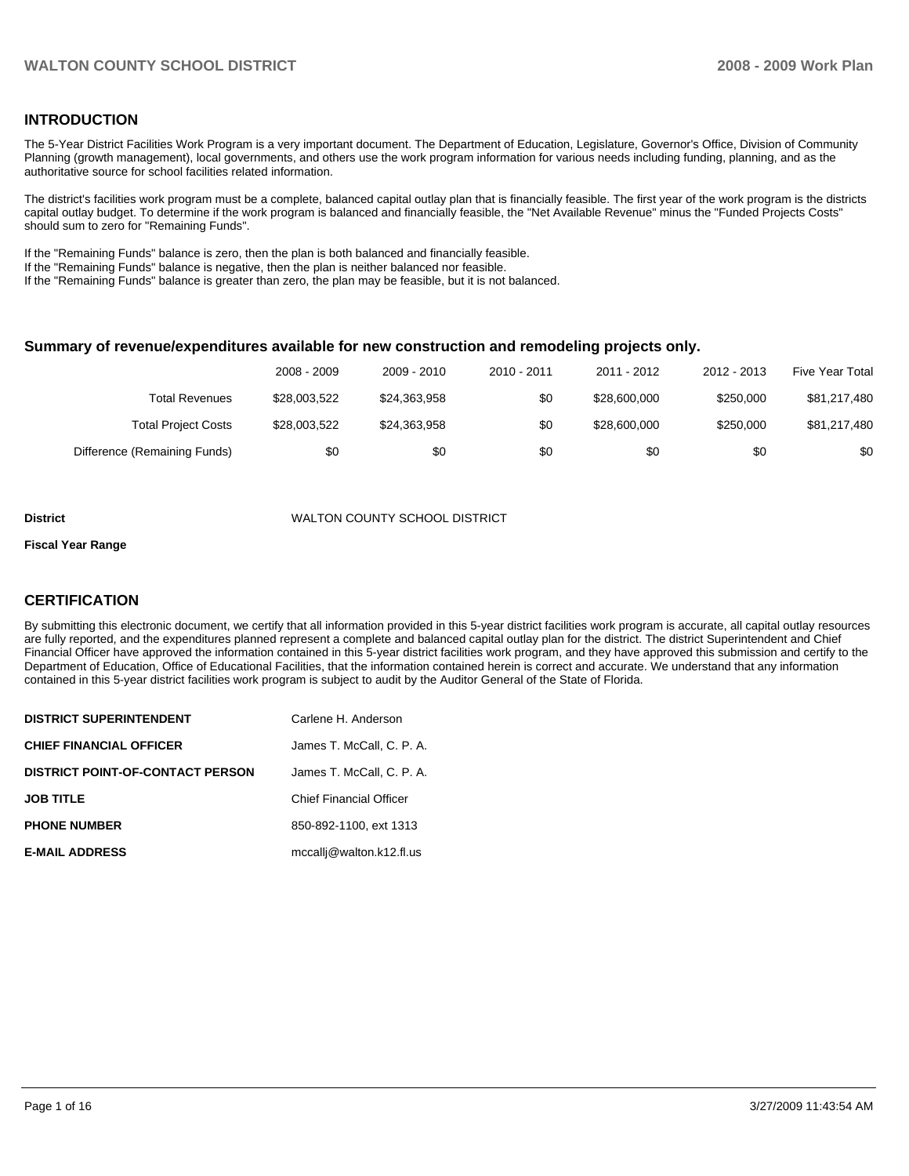# **INTRODUCTION**

The 5-Year District Facilities Work Program is a very important document. The Department of Education, Legislature, Governor's Office, Division of Community Planning (growth management), local governments, and others use the work program information for various needs including funding, planning, and as the authoritative source for school facilities related information.

The district's facilities work program must be a complete, balanced capital outlay plan that is financially feasible. The first year of the work program is the districts capital outlay budget. To determine if the work program is balanced and financially feasible, the "Net Available Revenue" minus the "Funded Projects Costs" should sum to zero for "Remaining Funds".

If the "Remaining Funds" balance is zero, then the plan is both balanced and financially feasible.

If the "Remaining Funds" balance is negative, then the plan is neither balanced nor feasible.

If the "Remaining Funds" balance is greater than zero, the plan may be feasible, but it is not balanced.

#### **Summary of revenue/expenditures available for new construction and remodeling projects only.**

| <b>Five Year Total</b> | 2012 - 2013 | 2011 - 2012  | 2010 - 2011 | 2009 - 2010  | 2008 - 2009  |                              |
|------------------------|-------------|--------------|-------------|--------------|--------------|------------------------------|
| \$81,217,480           | \$250,000   | \$28,600,000 | \$0         | \$24,363,958 | \$28,003,522 | Total Revenues               |
| \$81,217,480           | \$250,000   | \$28,600,000 | \$0         | \$24,363,958 | \$28,003,522 | <b>Total Project Costs</b>   |
| \$0                    | \$0         | \$0          | \$0         | \$0          | \$0          | Difference (Remaining Funds) |

#### **District** WALTON COUNTY SCHOOL DISTRICT

#### **Fiscal Year Range**

### **CERTIFICATION**

By submitting this electronic document, we certify that all information provided in this 5-year district facilities work program is accurate, all capital outlay resources are fully reported, and the expenditures planned represent a complete and balanced capital outlay plan for the district. The district Superintendent and Chief Financial Officer have approved the information contained in this 5-year district facilities work program, and they have approved this submission and certify to the Department of Education, Office of Educational Facilities, that the information contained herein is correct and accurate. We understand that any information contained in this 5-year district facilities work program is subject to audit by the Auditor General of the State of Florida.

| <b>DISTRICT SUPERINTENDENT</b>          | Carlene H. Anderson            |
|-----------------------------------------|--------------------------------|
| <b>CHIEF FINANCIAL OFFICER</b>          | James T. McCall. C. P. A.      |
| <b>DISTRICT POINT-OF-CONTACT PERSON</b> | James T. McCall, C. P. A.      |
| <b>JOB TITLE</b>                        | <b>Chief Financial Officer</b> |
| <b>PHONE NUMBER</b>                     | 850-892-1100, ext 1313         |
| <b>E-MAIL ADDRESS</b>                   | mccallj@walton.k12.fl.us       |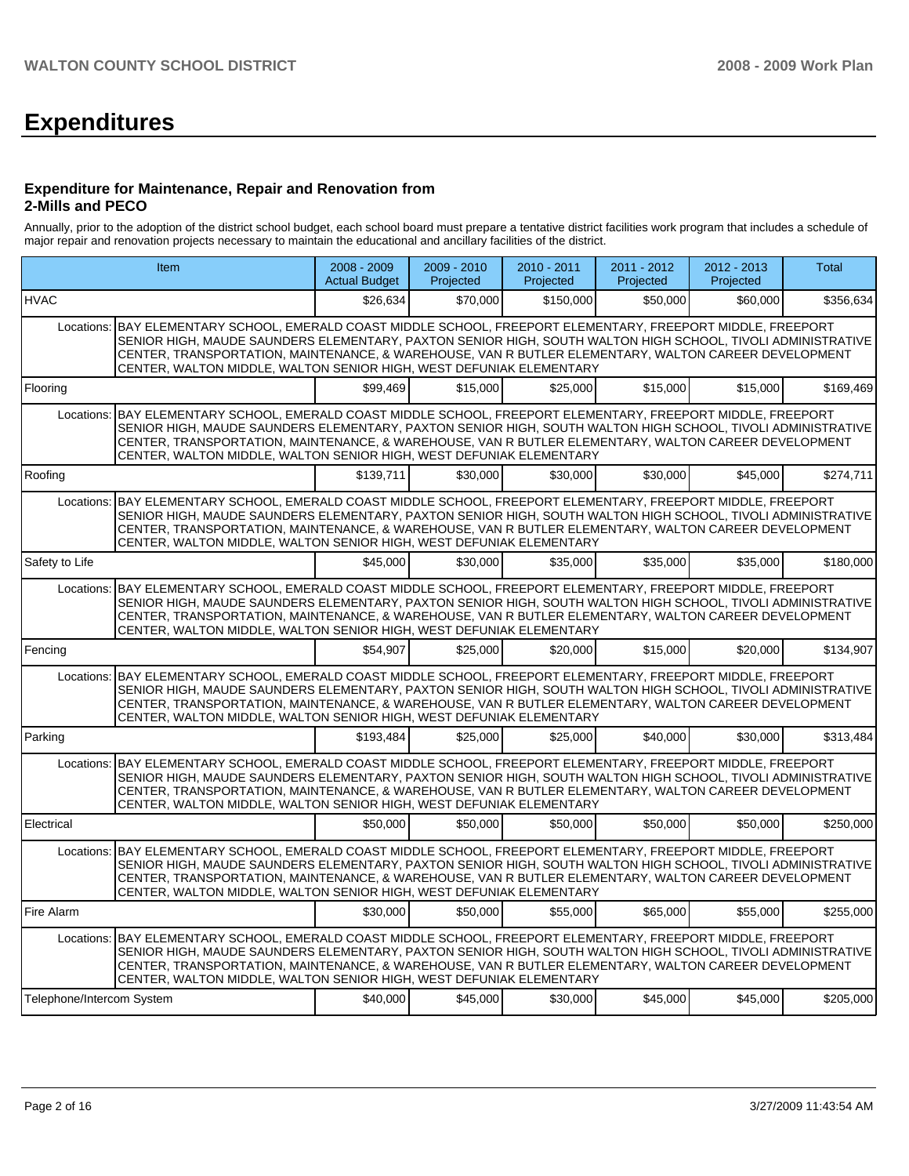# **Expenditures**

#### **Expenditure for Maintenance, Repair and Renovation from 2-Mills and PECO**

Annually, prior to the adoption of the district school budget, each school board must prepare a tentative district facilities work program that includes a schedule of major repair and renovation projects necessary to maintain the educational and ancillary facilities of the district.

|                           | <b>Item</b>                                                                                                                                                                                                                                                                                                                                                                                                 | $2008 - 2009$<br><b>Actual Budget</b> | $2009 - 2010$<br>Projected | $2010 - 2011$<br>Projected | $2011 - 2012$<br>Projected | $2012 - 2013$<br>Projected | <b>Total</b> |
|---------------------------|-------------------------------------------------------------------------------------------------------------------------------------------------------------------------------------------------------------------------------------------------------------------------------------------------------------------------------------------------------------------------------------------------------------|---------------------------------------|----------------------------|----------------------------|----------------------------|----------------------------|--------------|
| <b>HVAC</b>               |                                                                                                                                                                                                                                                                                                                                                                                                             | \$26.634                              | \$70.000                   | \$150,000                  | \$50,000                   | \$60,000                   | \$356,634    |
|                           | Locations: BAY ELEMENTARY SCHOOL, EMERALD COAST MIDDLE SCHOOL, FREEPORT ELEMENTARY, FREEPORT MIDDLE, FREEPORT<br>SENIOR HIGH. MAUDE SAUNDERS ELEMENTARY, PAXTON SENIOR HIGH, SOUTH WALTON HIGH SCHOOL, TIVOLI ADMINISTRATIVE<br>CENTER, TRANSPORTATION, MAINTENANCE, & WAREHOUSE, VAN R BUTLER ELEMENTARY, WALTON CAREER DEVELOPMENT<br>CENTER, WALTON MIDDLE, WALTON SENIOR HIGH, WEST DEFUNIAK ELEMENTARY |                                       |                            |                            |                            |                            |              |
| Flooring                  |                                                                                                                                                                                                                                                                                                                                                                                                             | \$99.469                              | \$15,000                   | \$25,000                   | \$15,000                   | \$15,000                   | \$169.469    |
|                           | Locations: BAY ELEMENTARY SCHOOL, EMERALD COAST MIDDLE SCHOOL, FREEPORT ELEMENTARY, FREEPORT MIDDLE, FREEPORT<br>SENIOR HIGH, MAUDE SAUNDERS ELEMENTARY, PAXTON SENIOR HIGH, SOUTH WALTON HIGH SCHOOL, TIVOLI ADMINISTRATIVE<br>CENTER, TRANSPORTATION, MAINTENANCE, & WAREHOUSE, VAN R BUTLER ELEMENTARY, WALTON CAREER DEVELOPMENT<br>CENTER, WALTON MIDDLE, WALTON SENIOR HIGH, WEST DEFUNIAK ELEMENTARY |                                       |                            |                            |                            |                            |              |
| Roofing                   |                                                                                                                                                                                                                                                                                                                                                                                                             | \$139.711                             | \$30.000                   | \$30.000                   | \$30,000                   | \$45,000                   | \$274,711    |
|                           | Locations: BAY ELEMENTARY SCHOOL, EMERALD COAST MIDDLE SCHOOL, FREEPORT ELEMENTARY, FREEPORT MIDDLE, FREEPORT<br>SENIOR HIGH, MAUDE SAUNDERS ELEMENTARY, PAXTON SENIOR HIGH, SOUTH WALTON HIGH SCHOOL, TIVOLI ADMINISTRATIVE<br>CENTER, TRANSPORTATION, MAINTENANCE, & WAREHOUSE, VAN R BUTLER ELEMENTARY, WALTON CAREER DEVELOPMENT<br>CENTER, WALTON MIDDLE, WALTON SENIOR HIGH, WEST DEFUNIAK ELEMENTARY |                                       |                            |                            |                            |                            |              |
| Safety to Life            |                                                                                                                                                                                                                                                                                                                                                                                                             | \$45,000                              | \$30,000                   | \$35,000                   | \$35,000                   | \$35,000                   | \$180.000    |
|                           | Locations: BAY ELEMENTARY SCHOOL, EMERALD COAST MIDDLE SCHOOL, FREEPORT ELEMENTARY, FREEPORT MIDDLE, FREEPORT<br>SENIOR HIGH, MAUDE SAUNDERS ELEMENTARY, PAXTON SENIOR HIGH, SOUTH WALTON HIGH SCHOOL, TIVOLI ADMINISTRATIVE<br>CENTER, TRANSPORTATION, MAINTENANCE, & WAREHOUSE, VAN R BUTLER ELEMENTARY, WALTON CAREER DEVELOPMENT<br>CENTER, WALTON MIDDLE, WALTON SENIOR HIGH, WEST DEFUNIAK ELEMENTARY |                                       |                            |                            |                            |                            |              |
| Fencing                   |                                                                                                                                                                                                                                                                                                                                                                                                             | \$54.907                              | \$25,000                   | \$20,000                   | \$15,000                   | \$20,000                   | \$134.907    |
|                           | Locations: BAY ELEMENTARY SCHOOL, EMERALD COAST MIDDLE SCHOOL, FREEPORT ELEMENTARY, FREEPORT MIDDLE, FREEPORT<br>SENIOR HIGH, MAUDE SAUNDERS ELEMENTARY, PAXTON SENIOR HIGH, SOUTH WALTON HIGH SCHOOL, TIVOLI ADMINISTRATIVE<br>CENTER, TRANSPORTATION, MAINTENANCE, & WAREHOUSE, VAN R BUTLER ELEMENTARY, WALTON CAREER DEVELOPMENT<br>CENTER, WALTON MIDDLE, WALTON SENIOR HIGH, WEST DEFUNIAK ELEMENTARY |                                       |                            |                            |                            |                            |              |
| Parking                   |                                                                                                                                                                                                                                                                                                                                                                                                             | \$193.484                             | \$25,000                   | \$25,000                   | \$40,000                   | \$30,000                   | \$313,484    |
|                           | Locations: BAY ELEMENTARY SCHOOL, EMERALD COAST MIDDLE SCHOOL, FREEPORT ELEMENTARY, FREEPORT MIDDLE, FREEPORT<br>SENIOR HIGH, MAUDE SAUNDERS ELEMENTARY, PAXTON SENIOR HIGH, SOUTH WALTON HIGH SCHOOL, TIVOLI ADMINISTRATIVE<br>CENTER, TRANSPORTATION, MAINTENANCE, & WAREHOUSE, VAN R BUTLER ELEMENTARY, WALTON CAREER DEVELOPMENT<br>CENTER, WALTON MIDDLE, WALTON SENIOR HIGH, WEST DEFUNIAK ELEMENTARY |                                       |                            |                            |                            |                            |              |
| Electrical                |                                                                                                                                                                                                                                                                                                                                                                                                             | \$50,000                              | \$50,000                   | \$50,000                   | \$50,000                   | \$50,000                   | \$250,000    |
|                           | Locations: BAY ELEMENTARY SCHOOL, EMERALD COAST MIDDLE SCHOOL, FREEPORT ELEMENTARY, FREEPORT MIDDLE, FREEPORT<br>SENIOR HIGH, MAUDE SAUNDERS ELEMENTARY, PAXTON SENIOR HIGH, SOUTH WALTON HIGH SCHOOL, TIVOLI ADMINISTRATIVE<br>CENTER, TRANSPORTATION, MAINTENANCE, & WAREHOUSE, VAN R BUTLER ELEMENTARY, WALTON CAREER DEVELOPMENT<br>CENTER, WALTON MIDDLE, WALTON SENIOR HIGH, WEST DEFUNIAK ELEMENTARY |                                       |                            |                            |                            |                            |              |
| Fire Alarm                |                                                                                                                                                                                                                                                                                                                                                                                                             | \$30,000                              | \$50,000                   | \$55,000                   | \$65,000                   | \$55,000                   | \$255.000    |
|                           | Locations: BAY ELEMENTARY SCHOOL, EMERALD COAST MIDDLE SCHOOL, FREEPORT ELEMENTARY, FREEPORT MIDDLE, FREEPORT<br>SENIOR HIGH, MAUDE SAUNDERS ELEMENTARY, PAXTON SENIOR HIGH, SOUTH WALTON HIGH SCHOOL, TIVOLI ADMINISTRATIVE<br>CENTER, TRANSPORTATION, MAINTENANCE, & WAREHOUSE, VAN R BUTLER ELEMENTARY, WALTON CAREER DEVELOPMENT<br>CENTER, WALTON MIDDLE, WALTON SENIOR HIGH, WEST DEFUNIAK ELEMENTARY |                                       |                            |                            |                            |                            |              |
| Telephone/Intercom System |                                                                                                                                                                                                                                                                                                                                                                                                             | \$40,000                              | \$45,000                   | \$30,000                   | \$45,000                   | \$45,000                   | \$205,000    |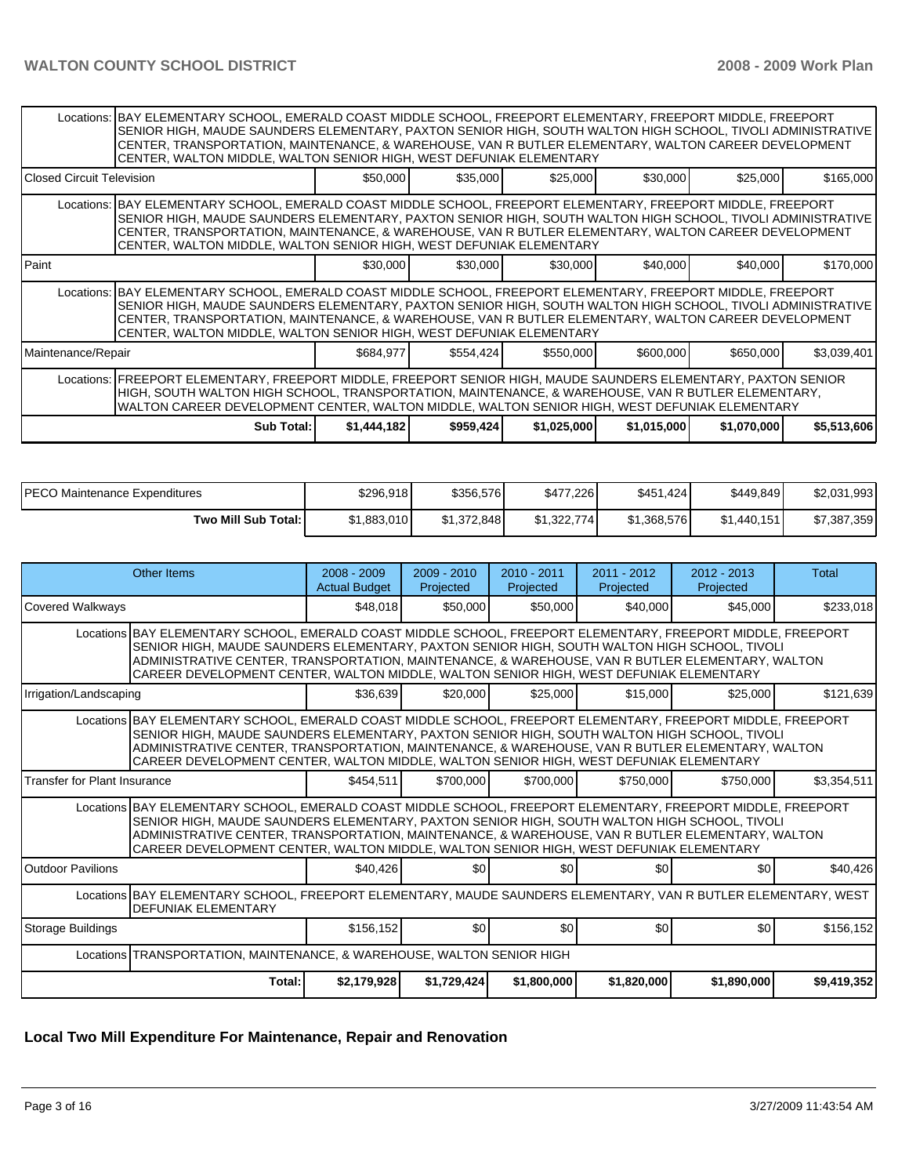|                             | Locations: BAY ELEMENTARY SCHOOL, EMERALD COAST MIDDLE SCHOOL, FREEPORT ELEMENTARY, FREEPORT MIDDLE, FREEPORT<br>SENIOR HIGH, MAUDE SAUNDERS ELEMENTARY, PAXTON SENIOR HIGH, SOUTH WALTON HIGH SCHOOL, TIVOLI ADMINISTRATIVE<br>CENTER, TRANSPORTATION, MAINTENANCE, & WAREHOUSE, VAN R BUTLER ELEMENTARY, WALTON CAREER DEVELOPMENT<br>CENTER, WALTON MIDDLE, WALTON SENIOR HIGH, WEST DEFUNIAK ELEMENTARY |             |           |             |             |             |             |  |  |  |  |  |
|-----------------------------|-------------------------------------------------------------------------------------------------------------------------------------------------------------------------------------------------------------------------------------------------------------------------------------------------------------------------------------------------------------------------------------------------------------|-------------|-----------|-------------|-------------|-------------|-------------|--|--|--|--|--|
| l Closed Circuit Television |                                                                                                                                                                                                                                                                                                                                                                                                             | \$50,000    | \$35,000  | \$25,000    | \$30,000    | \$25,000    | \$165,000   |  |  |  |  |  |
|                             | Locations: BAY ELEMENTARY SCHOOL, EMERALD COAST MIDDLE SCHOOL, FREEPORT ELEMENTARY, FREEPORT MIDDLE, FREEPORT<br>SENIOR HIGH, MAUDE SAUNDERS ELEMENTARY, PAXTON SENIOR HIGH, SOUTH WALTON HIGH SCHOOL, TIVOLI ADMINISTRATIVE<br>CENTER, TRANSPORTATION, MAINTENANCE, & WAREHOUSE, VAN R BUTLER ELEMENTARY, WALTON CAREER DEVELOPMENT<br>CENTER, WALTON MIDDLE, WALTON SENIOR HIGH, WEST DEFUNIAK ELEMENTARY |             |           |             |             |             |             |  |  |  |  |  |
| <b>IPaint</b>               |                                                                                                                                                                                                                                                                                                                                                                                                             | \$30,000    | \$30,000  | \$30,000    | \$40,000    | \$40,000    | \$170,000   |  |  |  |  |  |
|                             | Locations: BAY ELEMENTARY SCHOOL, EMERALD COAST MIDDLE SCHOOL, FREEPORT ELEMENTARY, FREEPORT MIDDLE, FREEPORT<br>SENIOR HIGH, MAUDE SAUNDERS ELEMENTARY, PAXTON SENIOR HIGH, SOUTH WALTON HIGH SCHOOL, TIVOLI ADMINISTRATIVE<br>CENTER, TRANSPORTATION, MAINTENANCE, & WAREHOUSE, VAN R BUTLER ELEMENTARY, WALTON CAREER DEVELOPMENT<br>CENTER, WALTON MIDDLE, WALTON SENIOR HIGH, WEST DEFUNIAK ELEMENTARY |             |           |             |             |             |             |  |  |  |  |  |
| Maintenance/Repair          |                                                                                                                                                                                                                                                                                                                                                                                                             | \$684,977   | \$554,424 | \$550,000   | \$600,000   | \$650,000   | \$3,039,401 |  |  |  |  |  |
|                             | Locations: FREEPORT ELEMENTARY, FREEPORT MIDDLE, FREEPORT SENIOR HIGH, MAUDE SAUNDERS ELEMENTARY, PAXTON SENIOR<br>HIGH, SOUTH WALTON HIGH SCHOOL, TRANSPORTATION, MAINTENANCE, & WAREHOUSE, VAN R BUTLER ELEMENTARY,<br>WALTON CAREER DEVELOPMENT CENTER, WALTON MIDDLE, WALTON SENIOR HIGH, WEST DEFUNIAK ELEMENTARY                                                                                      |             |           |             |             |             |             |  |  |  |  |  |
|                             | Sub Total: I                                                                                                                                                                                                                                                                                                                                                                                                | \$1,444,182 | \$959,424 | \$1,025,000 | \$1,015,000 | \$1,070,000 | \$5,513,606 |  |  |  |  |  |

| <b>PECO Maintenance Expenditures</b> | \$296,918   | \$356.576   | \$477,226   | \$451,424]  | \$449,849   | \$2,031,993 |
|--------------------------------------|-------------|-------------|-------------|-------------|-------------|-------------|
| Two Mill Sub Total:                  | \$1,883,010 | \$1.372.848 | \$1,322,774 | \$1,368,576 | \$1.440.151 | \$7,387,359 |

|                                     | Other Items                                                                                                                                                                                                                                                                                                                                                                                                | $2008 - 2009$<br><b>Actual Budget</b> | $2009 - 2010$<br>Projected | $2010 - 2011$<br>Projected | $2011 - 2012$<br>Projected | $2012 - 2013$<br>Projected | Total       |
|-------------------------------------|------------------------------------------------------------------------------------------------------------------------------------------------------------------------------------------------------------------------------------------------------------------------------------------------------------------------------------------------------------------------------------------------------------|---------------------------------------|----------------------------|----------------------------|----------------------------|----------------------------|-------------|
| <b>Covered Walkways</b>             |                                                                                                                                                                                                                                                                                                                                                                                                            | \$48.018                              | \$50,000                   | \$50,000                   | \$40,000                   | \$45,000                   | \$233,018   |
|                                     | Locations BAY ELEMENTARY SCHOOL, EMERALD COAST MIDDLE SCHOOL, FREEPORT ELEMENTARY, FREEPORT MIDDLE, FREEPORT<br>SENIOR HIGH, MAUDE SAUNDERS ELEMENTARY, PAXTON SENIOR HIGH, SOUTH WALTON HIGH SCHOOL, TIVOLI<br>ADMINISTRATIVE CENTER, TRANSPORTATION, MAINTENANCE, & WAREHOUSE, VAN R BUTLER ELEMENTARY, WALTON<br>CAREER DEVELOPMENT CENTER, WALTON MIDDLE, WALTON SENIOR HIGH, WEST DEFUNIAK ELEMENTARY |                                       |                            |                            |                            |                            |             |
| Irrigation/Landscaping              |                                                                                                                                                                                                                                                                                                                                                                                                            | \$36,639                              | \$20,000                   | \$25,000                   | \$15,000                   | \$25,000                   | \$121,639   |
|                                     | Locations BAY ELEMENTARY SCHOOL, EMERALD COAST MIDDLE SCHOOL, FREEPORT ELEMENTARY, FREEPORT MIDDLE, FREEPORT<br>SENIOR HIGH. MAUDE SAUNDERS ELEMENTARY. PAXTON SENIOR HIGH. SOUTH WALTON HIGH SCHOOL. TIVOLI<br>ADMINISTRATIVE CENTER, TRANSPORTATION, MAINTENANCE, & WAREHOUSE, VAN R BUTLER ELEMENTARY, WALTON<br>CAREER DEVELOPMENT CENTER, WALTON MIDDLE, WALTON SENIOR HIGH, WEST DEFUNIAK ELEMENTARY |                                       |                            |                            |                            |                            |             |
| <b>Transfer for Plant Insurance</b> |                                                                                                                                                                                                                                                                                                                                                                                                            | \$454.511                             | \$700,000                  | \$700,000                  | \$750,000                  | \$750,000                  | \$3,354,511 |
|                                     | Locations BAY ELEMENTARY SCHOOL, EMERALD COAST MIDDLE SCHOOL, FREEPORT ELEMENTARY, FREEPORT MIDDLE, FREEPORT<br>SENIOR HIGH, MAUDE SAUNDERS ELEMENTARY, PAXTON SENIOR HIGH, SOUTH WALTON HIGH SCHOOL, TIVOLI<br>ADMINISTRATIVE CENTER, TRANSPORTATION, MAINTENANCE, & WAREHOUSE, VAN R BUTLER ELEMENTARY, WALTON<br>CAREER DEVELOPMENT CENTER. WALTON MIDDLE. WALTON SENIOR HIGH. WEST DEFUNIAK ELEMENTARY |                                       |                            |                            |                            |                            |             |
| <b>Outdoor Pavilions</b>            |                                                                                                                                                                                                                                                                                                                                                                                                            | \$40,426                              | \$0                        | \$0                        | \$0                        | \$0                        | \$40,426    |
|                                     | Locations BAY ELEMENTARY SCHOOL, FREEPORT ELEMENTARY, MAUDE SAUNDERS ELEMENTARY, VAN R BUTLER ELEMENTARY, WEST<br><b>DEFUNIAK ELEMENTARY</b>                                                                                                                                                                                                                                                               |                                       |                            |                            |                            |                            |             |
| Storage Buildings                   |                                                                                                                                                                                                                                                                                                                                                                                                            | \$156,152                             | \$0 <sub>1</sub>           | \$0                        | \$0                        | \$0                        | \$156,152   |
|                                     | Locations TRANSPORTATION, MAINTENANCE, & WAREHOUSE, WALTON SENIOR HIGH                                                                                                                                                                                                                                                                                                                                     |                                       |                            |                            |                            |                            |             |
|                                     | Total:                                                                                                                                                                                                                                                                                                                                                                                                     | \$2,179,928                           | \$1,729,424                | \$1,800,000                | \$1,820,000                | \$1,890,000                | \$9,419,352 |

# **Local Two Mill Expenditure For Maintenance, Repair and Renovation**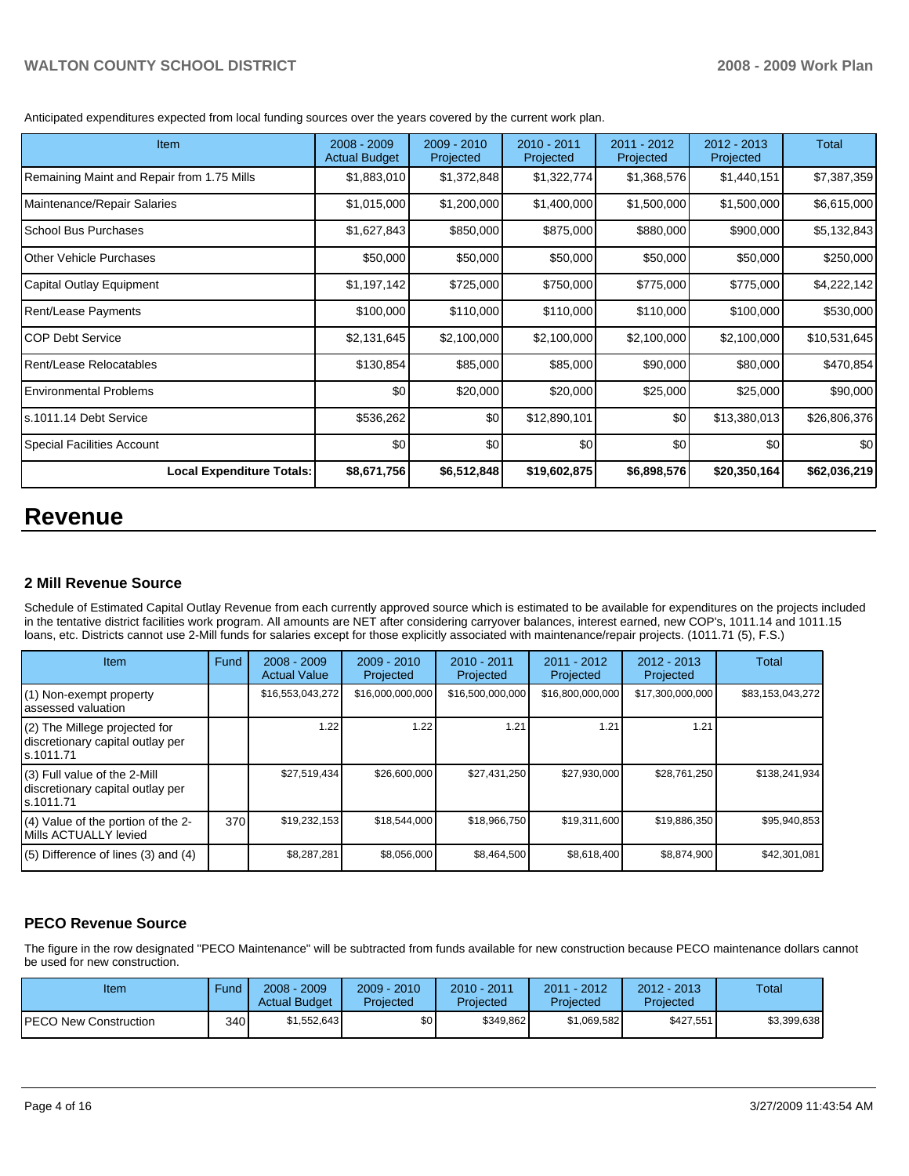Anticipated expenditures expected from local funding sources over the years covered by the current work plan.

| <b>Item</b>                                | 2008 - 2009<br><b>Actual Budget</b> | $2009 - 2010$<br>Projected | 2010 - 2011<br>Projected | 2011 - 2012<br>Projected | 2012 - 2013<br>Projected | Total        |
|--------------------------------------------|-------------------------------------|----------------------------|--------------------------|--------------------------|--------------------------|--------------|
| Remaining Maint and Repair from 1.75 Mills | \$1,883,010                         | \$1,372,848                | \$1,322,774              | \$1,368,576              | \$1,440,151              | \$7,387,359  |
| Maintenance/Repair Salaries                | \$1,015,000                         | \$1,200,000                | \$1,400,000              | \$1,500,000              | \$1,500,000              | \$6,615,000  |
| School Bus Purchases                       | \$1,627,843                         | \$850,000                  | \$875,000                | \$880,000                | \$900,000                | \$5,132,843  |
| <b>IOther Vehicle Purchases</b>            | \$50,000                            | \$50,000                   | \$50,000                 | \$50,000                 | \$50,000                 | \$250,000    |
| Capital Outlay Equipment                   | \$1,197,142                         | \$725,000                  | \$750,000                | \$775,000                | \$775,000                | \$4,222,142  |
| <b>Rent/Lease Payments</b>                 | \$100,000                           | \$110,000                  | \$110,000                | \$110,000                | \$100,000                | \$530,000    |
| ICOP Debt Service                          | \$2,131,645                         | \$2,100,000                | \$2,100,000              | \$2,100,000              | \$2,100,000              | \$10,531,645 |
| <b>Rent/Lease Relocatables</b>             | \$130,854                           | \$85,000                   | \$85,000                 | \$90,000                 | \$80,000                 | \$470,854    |
| Environmental Problems                     | \$0                                 | \$20,000                   | \$20,000                 | \$25,000                 | \$25,000                 | \$90,000     |
| s.1011.14 Debt Service                     | \$536,262                           | \$0                        | \$12,890,101             | \$0                      | \$13,380,013             | \$26,806,376 |
| Special Facilities Account                 | \$0                                 | \$0                        | \$0                      | \$0                      | \$0                      | \$0          |
| <b>Local Expenditure Totals:</b>           | \$8,671,756                         | \$6,512,848                | \$19,602,875             | \$6,898,576              | \$20,350,164             | \$62,036,219 |

# **Revenue**

# **2 Mill Revenue Source**

Schedule of Estimated Capital Outlay Revenue from each currently approved source which is estimated to be available for expenditures on the projects included in the tentative district facilities work program. All amounts are NET after considering carryover balances, interest earned, new COP's, 1011.14 and 1011.15 loans, etc. Districts cannot use 2-Mill funds for salaries except for those explicitly associated with maintenance/repair projects. (1011.71 (5), F.S.)

| <b>Item</b>                                                                       | Fund | $2008 - 2009$<br><b>Actual Value</b> | $2009 - 2010$<br>Projected | $2010 - 2011$<br>Projected | $2011 - 2012$<br>Projected | $2012 - 2013$<br>Projected | Total            |
|-----------------------------------------------------------------------------------|------|--------------------------------------|----------------------------|----------------------------|----------------------------|----------------------------|------------------|
| $(1)$ Non-exempt property<br>lassessed valuation                                  |      | \$16,553,043,272                     | \$16,000,000,000           | \$16,500,000,000           | \$16,800,000,000           | \$17,300,000,000           | \$83,153,043,272 |
| $(2)$ The Millege projected for<br>discretionary capital outlay per<br>ls.1011.71 |      | 1.22                                 | 1.22                       | 1.21                       | 1.21                       | 1.21                       |                  |
| $(3)$ Full value of the 2-Mill<br>discretionary capital outlay per<br>ls.1011.71  |      | \$27,519,434                         | \$26,600,000               | \$27,431,250               | \$27,930,000               | \$28.761.250               | \$138,241,934    |
| $(4)$ Value of the portion of the 2-<br>Mills ACTUALLY levied                     | 370  | \$19,232,153                         | \$18,544,000               | \$18,966,750               | \$19,311,600               | \$19,886,350               | \$95,940,853     |
| $(5)$ Difference of lines (3) and (4)                                             |      | \$8,287,281                          | \$8,056,000                | \$8,464,500                | \$8,618,400                | \$8,874,900                | \$42,301,081     |

# **PECO Revenue Source**

The figure in the row designated "PECO Maintenance" will be subtracted from funds available for new construction because PECO maintenance dollars cannot be used for new construction.

| Item                         | Fund  | $2008 - 2009$<br><b>Actual Budget</b> | $2009 - 2010$<br>Projected | $2010 - 2011$<br>Proiected | 2011 - 2012<br>Projected | $2012 - 2013$<br>Projected | Total       |
|------------------------------|-------|---------------------------------------|----------------------------|----------------------------|--------------------------|----------------------------|-------------|
| <b>PECO New Construction</b> | 340 I | \$1,552,643                           | \$0                        | \$349,862                  | \$1,069,582              | \$427,551                  | \$3,399,638 |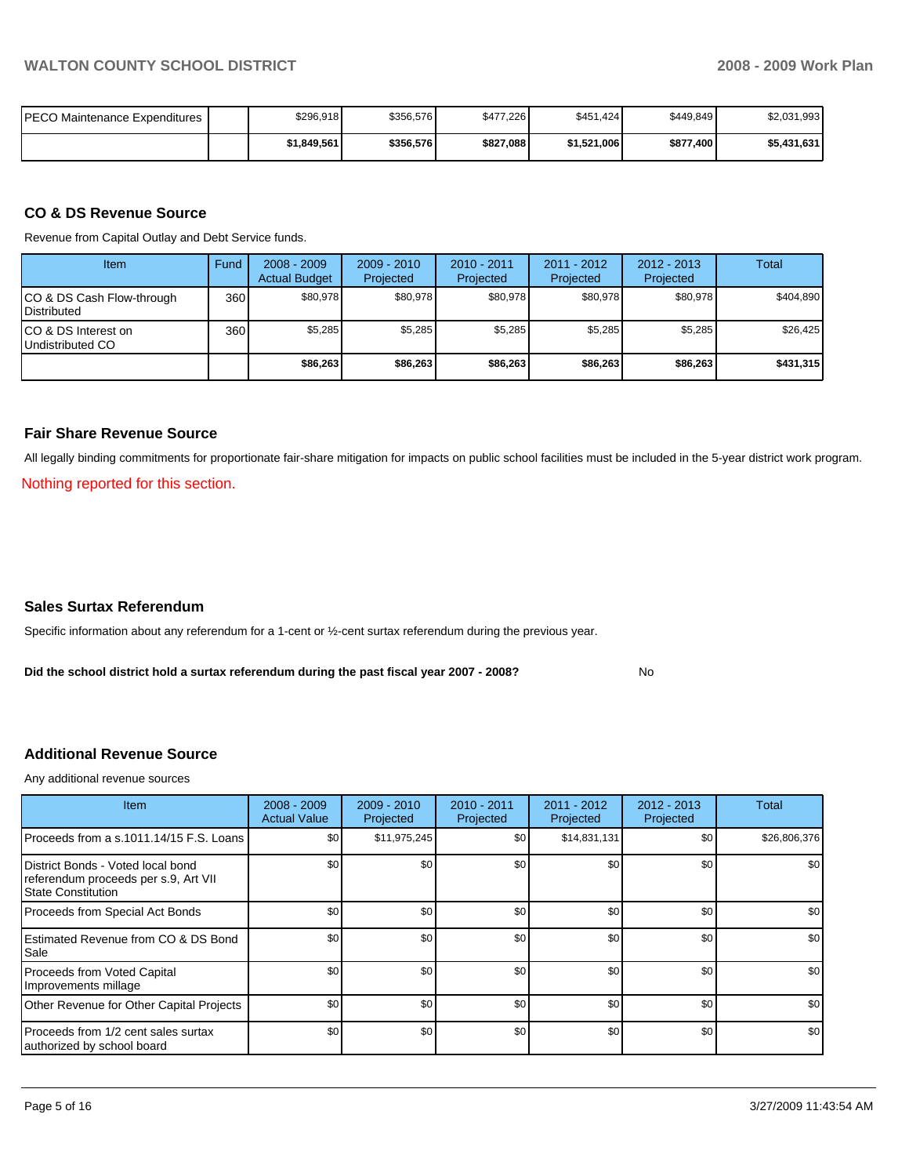| IPECO Maintenance Expenditures | \$296,918   | \$356,576 | \$477,226 | \$451.424   | \$449.849 | \$2,031,993 |
|--------------------------------|-------------|-----------|-----------|-------------|-----------|-------------|
|                                | \$1,849,561 | \$356,576 | \$827,088 | \$1,521,006 | \$877,400 | \$5,431,631 |

### **CO & DS Revenue Source**

Revenue from Capital Outlay and Debt Service funds.

| Item                                               | Fund | $2008 - 2009$<br><b>Actual Budget</b> | $2009 - 2010$<br>Projected | $2010 - 2011$<br>Projected | $2011 - 2012$<br>Projected | $2012 - 2013$<br>Projected | Total     |
|----------------------------------------------------|------|---------------------------------------|----------------------------|----------------------------|----------------------------|----------------------------|-----------|
| ICO & DS Cash Flow-through<br><b>I</b> Distributed | 360  | \$80.978                              | \$80.978                   | \$80.978                   | \$80.978                   | \$80.978                   | \$404.890 |
| ICO & DS Interest on<br>Undistributed CO           | 360  | \$5.285                               | \$5,285                    | \$5,285                    | \$5.285                    | \$5,285                    | \$26,425  |
|                                                    |      | \$86,263                              | \$86,263                   | \$86,263                   | \$86,263                   | \$86,263                   | \$431,315 |

### **Fair Share Revenue Source**

All legally binding commitments for proportionate fair-share mitigation for impacts on public school facilities must be included in the 5-year district work program. Nothing reported for this section.

### **Sales Surtax Referendum**

Specific information about any referendum for a 1-cent or ½-cent surtax referendum during the previous year.

**Did the school district hold a surtax referendum during the past fiscal year 2007 - 2008?** No

#### **Additional Revenue Source**

Any additional revenue sources

| Item                                                                                              | $2008 - 2009$<br><b>Actual Value</b> | $2009 - 2010$<br>Projected | 2010 - 2011<br>Projected | $2011 - 2012$<br>Projected | $2012 - 2013$<br>Projected | <b>Total</b> |
|---------------------------------------------------------------------------------------------------|--------------------------------------|----------------------------|--------------------------|----------------------------|----------------------------|--------------|
| Proceeds from a s.1011.14/15 F.S. Loans                                                           | \$0                                  | \$11,975,245               | \$0                      | \$14,831,131               | \$0                        | \$26,806,376 |
| District Bonds - Voted local bond<br>referendum proceeds per s.9, Art VII<br>l State Constitution | \$0                                  | \$0                        | \$0                      | \$0                        | \$0                        | \$0          |
| Proceeds from Special Act Bonds                                                                   | \$0                                  | \$0                        | \$0                      | \$0                        | \$0                        | \$0          |
| <b>IEstimated Revenue from CO &amp; DS Bond</b><br>l Sale                                         | \$0                                  | \$0                        | \$0                      | \$0                        | \$0                        | \$0          |
| Proceeds from Voted Capital<br>Improvements millage                                               | \$0                                  | \$0                        | \$0                      | \$0                        | \$0                        | \$0          |
| Other Revenue for Other Capital Projects                                                          | \$0                                  | \$0                        | \$0                      | \$0                        | \$0                        | \$0          |
| Proceeds from 1/2 cent sales surtax<br>authorized by school board                                 | \$0                                  | \$0                        | \$0                      | \$0                        | \$0                        | \$0          |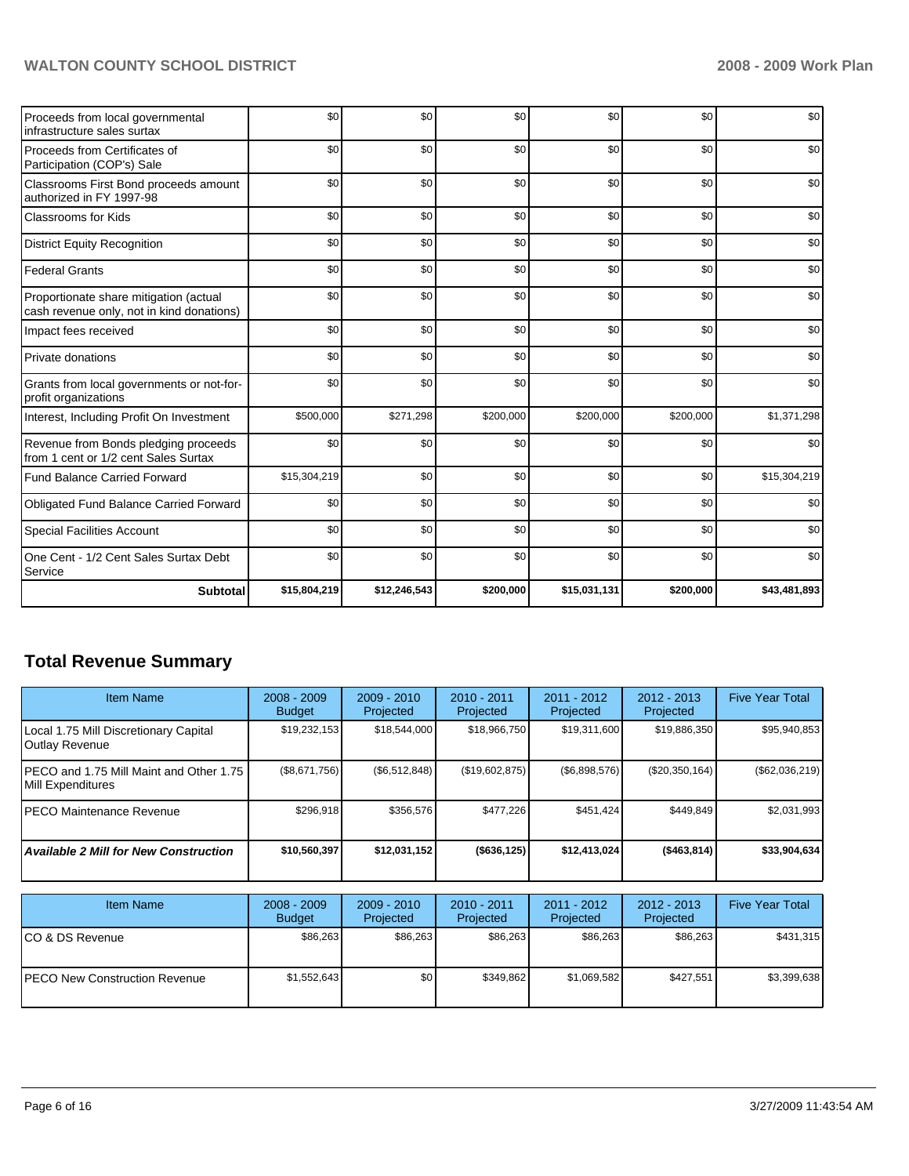# WALTON COUNTY SCHOOL DISTRICT **2008 - 2009 Work Plan**

| Proceeds from local governmental<br>infrastructure sales surtax                     | \$0          | \$0          | \$0       | \$0          | \$0       | \$0          |
|-------------------------------------------------------------------------------------|--------------|--------------|-----------|--------------|-----------|--------------|
| Proceeds from Certificates of<br>Participation (COP's) Sale                         | \$0          | \$0          | \$0       | \$0          | \$0       | \$0          |
| Classrooms First Bond proceeds amount<br>authorized in FY 1997-98                   | \$0          | \$0          | \$0       | \$0          | \$0       | \$0          |
| <b>Classrooms for Kids</b>                                                          | \$0          | \$0          | \$0       | \$0          | \$0       | \$0          |
| <b>District Equity Recognition</b>                                                  | \$0          | \$0          | \$0       | \$0          | \$0       | \$0          |
| <b>Federal Grants</b>                                                               | \$0          | \$0          | \$0       | \$0          | \$0       | \$0          |
| Proportionate share mitigation (actual<br>cash revenue only, not in kind donations) | \$0          | \$0          | \$0       | \$0          | \$0       | \$0          |
| Impact fees received                                                                | \$0          | \$0          | \$0       | \$0          | \$0       | \$0          |
| <b>Private donations</b>                                                            | \$0          | \$0          | \$0       | \$0          | \$0       | \$0          |
| Grants from local governments or not-for-<br>profit organizations                   | \$0          | \$0          | \$0       | \$0          | \$0       | \$0          |
| Interest, Including Profit On Investment                                            | \$500,000    | \$271,298    | \$200,000 | \$200,000    | \$200,000 | \$1,371,298  |
| Revenue from Bonds pledging proceeds<br>from 1 cent or 1/2 cent Sales Surtax        | \$0          | \$0          | \$0       | \$0          | \$0       | \$0          |
| Fund Balance Carried Forward                                                        | \$15,304,219 | \$0          | \$0       | \$0          | \$0       | \$15,304,219 |
| Obligated Fund Balance Carried Forward                                              | \$0          | \$0          | \$0       | \$0          | \$0       | \$0          |
| <b>Special Facilities Account</b>                                                   | \$0          | \$0          | \$0       | \$0          | \$0       | \$0          |
| One Cent - 1/2 Cent Sales Surtax Debt<br>Service                                    | \$0          | \$0          | \$0       | \$0          | \$0       | \$0          |
| <b>Subtotal</b>                                                                     | \$15,804,219 | \$12,246,543 | \$200,000 | \$15,031,131 | \$200,000 | \$43,481,893 |

# **Total Revenue Summary**

| <b>Item Name</b>                                              | $2008 - 2009$<br><b>Budget</b> | $2009 - 2010$<br>Projected | $2010 - 2011$<br>Projected | $2011 - 2012$<br>Projected | $2012 - 2013$<br>Projected | <b>Five Year Total</b> |
|---------------------------------------------------------------|--------------------------------|----------------------------|----------------------------|----------------------------|----------------------------|------------------------|
| Local 1.75 Mill Discretionary Capital<br>Outlay Revenue       | \$19,232,153                   | \$18,544,000               | \$18,966,750               | \$19,311,600               | \$19,886,350               | \$95,940,853           |
| IPECO and 1.75 Mill Maint and Other 1.75<br>Mill Expenditures | (\$8,671,756)                  | (\$6,512,848)              | (\$19,602,875)             | (\$6,898,576)              | (\$20,350,164)             | $(\$62,036,219)$       |
| <b>IPECO Maintenance Revenue</b>                              | \$296,918                      | \$356,576                  | \$477,226                  | \$451.424                  | \$449.849                  | \$2,031,993            |
| <b>Available 2 Mill for New Construction</b>                  | \$10,560,397                   | \$12,031,152               | ( \$636, 125)              | \$12,413,024               | ( \$463, 814)              | \$33,904,634           |

| <b>Item Name</b>                      | $2008 - 2009$<br><b>Budget</b> | $2009 - 2010$<br>Projected | $2010 - 2011$<br>Projected | $2011 - 2012$<br>Projected | $2012 - 2013$<br>Projected | <b>Five Year Total</b> |
|---------------------------------------|--------------------------------|----------------------------|----------------------------|----------------------------|----------------------------|------------------------|
| ICO & DS Revenue                      | \$86,263                       | \$86,263                   | \$86,263                   | \$86,263                   | \$86,263                   | \$431,315              |
| <b>IPECO New Construction Revenue</b> | \$1,552,643                    | \$0 <sub>1</sub>           | \$349.862                  | \$1,069,582                | \$427.551                  | \$3,399,638            |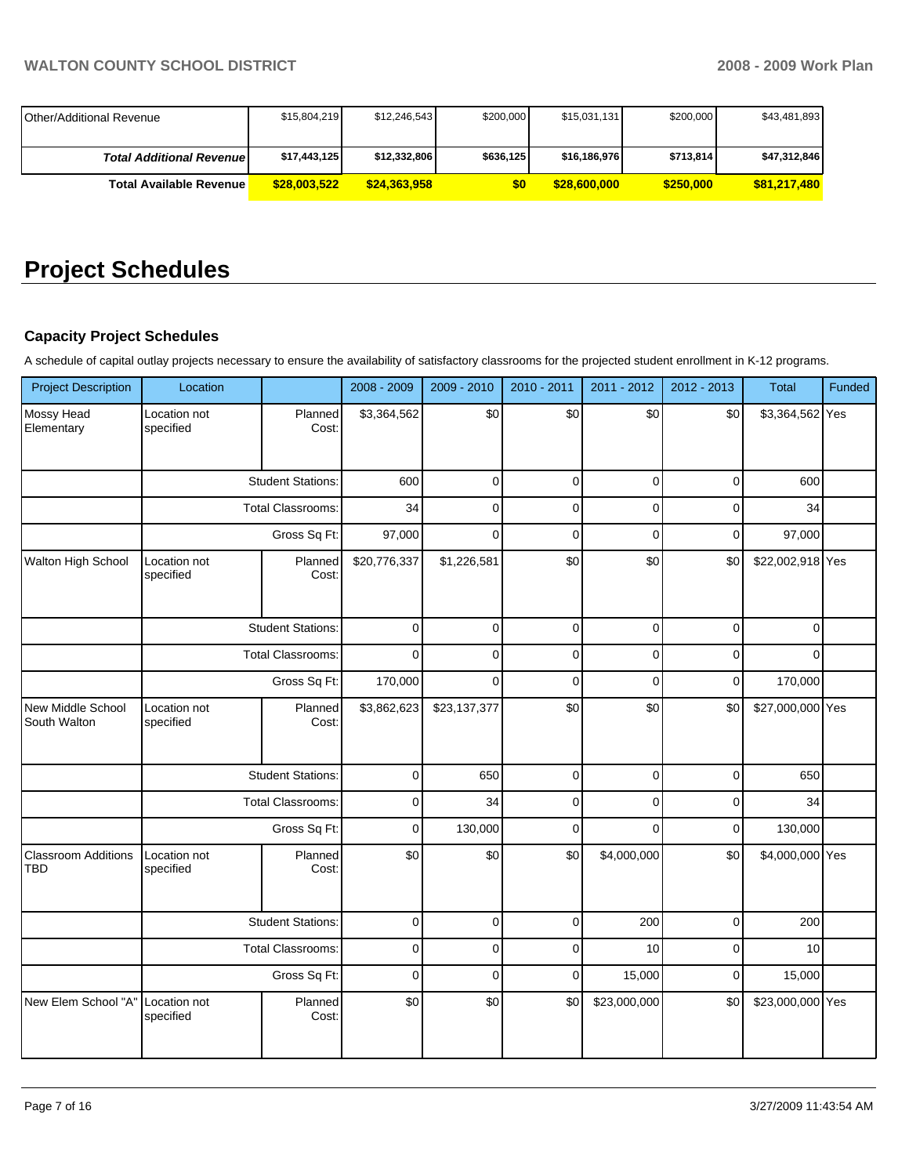| <b>IOther/Additional Revenue</b> | \$15,804,219 | \$12,246,543 | \$200,000 | \$15,031,131 | \$200,000 | \$43,481,893 |
|----------------------------------|--------------|--------------|-----------|--------------|-----------|--------------|
| <b>Total Additional Revenuel</b> | \$17,443,125 | \$12,332,806 | \$636,125 | \$16,186,976 | \$713.814 | \$47,312,846 |
| Total Available Revenue I        | \$28,003,522 | \$24.363.958 | \$0       | \$28,600,000 | \$250.000 | \$81.217.480 |

# **Project Schedules**

# **Capacity Project Schedules**

A schedule of capital outlay projects necessary to ensure the availability of satisfactory classrooms for the projected student enrollment in K-12 programs.

| <b>Project Description</b>               | Location                  |                          | 2008 - 2009  | 2009 - 2010  | 2010 - 2011 | 2011 - 2012    | 2012 - 2013 | <b>Total</b>     | Funded |
|------------------------------------------|---------------------------|--------------------------|--------------|--------------|-------------|----------------|-------------|------------------|--------|
| Mossy Head<br>Elementary                 | Location not<br>specified | Planned<br>Cost:         | \$3,364,562  | \$0          | \$0         | \$0            | \$0         | \$3,364,562 Yes  |        |
|                                          |                           | <b>Student Stations:</b> | 600          | $\mathbf 0$  | $\mathbf 0$ | $\mathbf 0$    | $\mathbf 0$ | 600              |        |
|                                          |                           | <b>Total Classrooms:</b> | 34           | $\mathbf 0$  | $\mathbf 0$ | 0              | $\pmb{0}$   | 34               |        |
|                                          |                           | Gross Sq Ft:             | 97,000       | $\mathbf{0}$ | $\Omega$    | $\mathbf 0$    | $\mathbf 0$ | 97,000           |        |
| Walton High School                       | Location not<br>specified | Planned<br>Cost:         | \$20,776,337 | \$1,226,581  | \$0         | \$0            | \$0         | \$22,002,918 Yes |        |
|                                          |                           | <b>Student Stations:</b> | 0            | 0            | $\mathsf 0$ | $\mathsf 0$    | $\mathsf 0$ | $\pmb{0}$        |        |
|                                          |                           | <b>Total Classrooms:</b> | $\mathbf{0}$ | $\mathbf 0$  | $\mathbf 0$ | $\mathbf 0$    | $\mathbf 0$ | $\Omega$         |        |
|                                          | Gross Sq Ft:              |                          | 170,000      | $\Omega$     | $\mathbf 0$ | $\overline{0}$ | $\mathbf 0$ | 170,000          |        |
| New Middle School<br>South Walton        | Location not<br>specified | Planned<br>Cost:         | \$3,862,623  | \$23,137,377 | \$0         | \$0            | \$0         | \$27,000,000 Yes |        |
|                                          |                           | <b>Student Stations:</b> | $\pmb{0}$    | 650          | $\mathsf 0$ | $\mathsf 0$    | $\mathsf 0$ | 650              |        |
|                                          |                           | <b>Total Classrooms:</b> | 0            | 34           | $\pmb{0}$   | 0              | $\pmb{0}$   | 34               |        |
|                                          |                           | Gross Sq Ft:             | $\mathbf 0$  | 130,000      | $\mathbf 0$ | $\mathbf 0$    | $\pmb{0}$   | 130,000          |        |
| <b>Classroom Additions</b><br><b>TBD</b> | Location not<br>specified | Planned<br>Cost:         | \$0          | \$0          | \$0         | \$4,000,000    | \$0         | \$4,000,000 Yes  |        |
|                                          |                           | <b>Student Stations:</b> | $\mathbf 0$  | $\mathbf 0$  | $\mathbf 0$ | 200            | $\mathbf 0$ | 200              |        |
|                                          |                           | Total Classrooms:        | 0            | $\mathbf 0$  | $\mathsf 0$ | 10             | $\mathsf 0$ | 10               |        |
|                                          |                           | Gross Sq Ft:             | $\mathbf 0$  | $\mathbf 0$  | $\pmb{0}$   | 15,000         | $\mathbf 0$ | 15,000           |        |
| New Elem School "A"                      | Location not<br>specified | Planned<br>Cost:         | \$0          | \$0          | \$0         | \$23,000,000   | \$0         | \$23,000,000 Yes |        |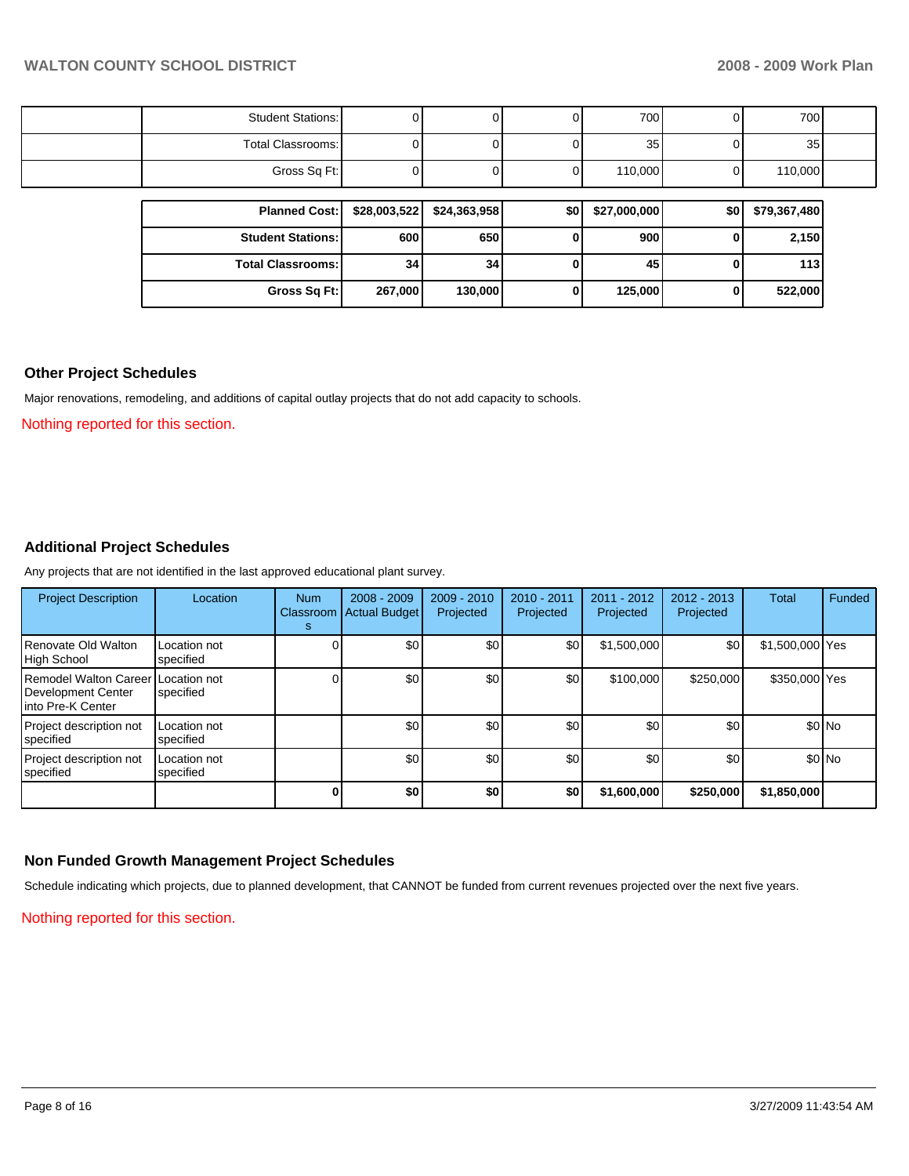| Gross Sq Ft:             |  | 01 | 110,000         | 110,000 |  |
|--------------------------|--|----|-----------------|---------|--|
| Total Classrooms:        |  | υι | 35 <sub>1</sub> | 35      |  |
| <b>Student Stations:</b> |  | υι | 700             | 700     |  |

| Planned Cost:   \$28,003,522 |                 | \$24,363,958    | \$0 | \$27,000,000 | \$0 | \$79,367,480 |
|------------------------------|-----------------|-----------------|-----|--------------|-----|--------------|
| <b>Student Stations:</b>     | 600             | 650 l           |     | 900          |     | 2,150        |
| <b>Total Classrooms:</b>     | 34 <sub>1</sub> | 34 <sub>l</sub> |     | 45           |     | 113          |
| Gross Sq Ft:                 | 267.000         | 130,000         |     | 125,000      |     | 522,000      |

#### **Other Project Schedules**

Major renovations, remodeling, and additions of capital outlay projects that do not add capacity to schools.

Nothing reported for this section.

# **Additional Project Schedules**

Any projects that are not identified in the last approved educational plant survey.

| <b>Project Description</b>                                                     | Location                  | <b>Num</b><br>s | $2008 - 2009$<br>Classroom Actual Budget | $2009 - 2010$<br>Projected | $2010 - 2011$<br>Projected | $2011 - 2012$<br>Projected | $2012 - 2013$<br>Projected | Total           | Funded  |
|--------------------------------------------------------------------------------|---------------------------|-----------------|------------------------------------------|----------------------------|----------------------------|----------------------------|----------------------------|-----------------|---------|
| Renovate Old Walton<br>High School                                             | Location not<br>specified |                 | \$0                                      | \$0                        | \$0                        | \$1,500,000                | \$0                        | \$1,500,000 Yes |         |
| Remodel Walton Career Location not<br>Development Center<br>Iinto Pre-K Center | specified                 |                 | \$0                                      | \$0                        | \$0                        | \$100,000                  | \$250,000                  | \$350,000 Yes   |         |
| Project description not<br><b>I</b> specified                                  | Location not<br>specified |                 | \$0                                      | \$0                        | \$0                        | \$0                        | \$0                        |                 | $$0$ No |
| Project description not<br>specified                                           | Location not<br>specified |                 | \$0                                      | \$0                        | \$0                        | \$0                        | \$0                        |                 | $$0$ No |
|                                                                                |                           | $\bf{0}$        | \$0                                      | \$0                        | \$0                        | \$1,600,000                | \$250,000                  | \$1,850,000     |         |

### **Non Funded Growth Management Project Schedules**

Schedule indicating which projects, due to planned development, that CANNOT be funded from current revenues projected over the next five years.

Nothing reported for this section.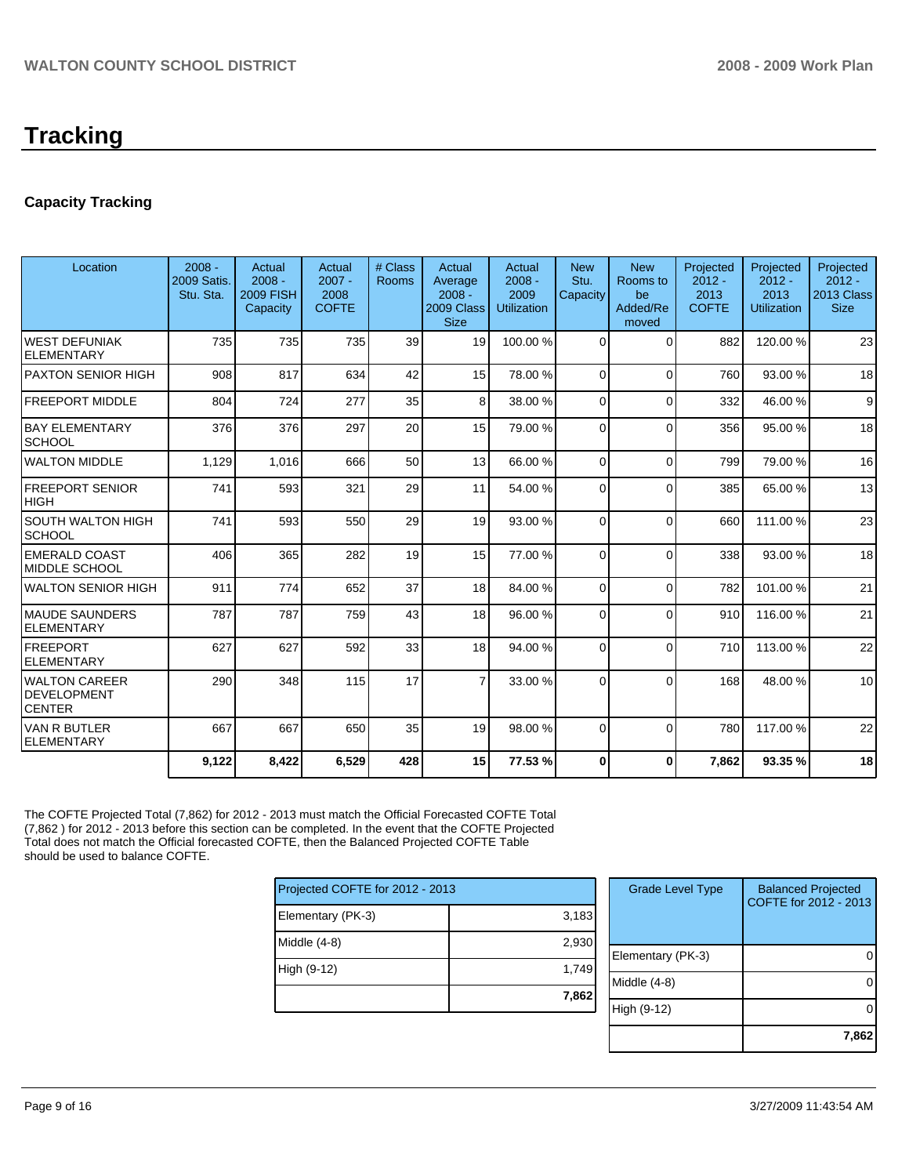# **Capacity Tracking**

| Location                                                    | $2008 -$<br>2009 Satis.<br>Stu. Sta. | Actual<br>$2008 -$<br><b>2009 FISH</b><br>Capacity | Actual<br>$2007 -$<br>2008<br><b>COFTE</b> | # Class<br>Rooms | Actual<br>Average<br>$2008 -$<br>2009 Class<br><b>Size</b> | Actual<br>$2008 -$<br>2009<br><b>Utilization</b> | <b>New</b><br>Stu.<br>Capacity | <b>New</b><br>Rooms to<br>be<br>Added/Re<br>moved | Projected<br>$2012 -$<br>2013<br><b>COFTE</b> | Projected<br>$2012 -$<br>2013<br>Utilization | Projected<br>$2012 -$<br>2013 Class<br><b>Size</b> |
|-------------------------------------------------------------|--------------------------------------|----------------------------------------------------|--------------------------------------------|------------------|------------------------------------------------------------|--------------------------------------------------|--------------------------------|---------------------------------------------------|-----------------------------------------------|----------------------------------------------|----------------------------------------------------|
| <b>WEST DEFUNIAK</b><br><b>ELEMENTARY</b>                   | 735                                  | 735                                                | 735                                        | 39               | 19                                                         | 100.00%                                          | $\Omega$                       | $\Omega$                                          | 882                                           | 120.00%                                      | 23                                                 |
| PAXTON SENIOR HIGH                                          | 908                                  | 817                                                | 634                                        | 42               | 15                                                         | 78.00 %                                          | $\Omega$                       | $\Omega$                                          | 760                                           | 93.00 %                                      | 18                                                 |
| <b>FREEPORT MIDDLE</b>                                      | 804                                  | 724                                                | 277                                        | 35               | 8 <sup>1</sup>                                             | 38.00 %                                          | $\Omega$                       | $\Omega$                                          | 332                                           | 46.00 %                                      | 9                                                  |
| <b>BAY ELEMENTARY</b><br><b>SCHOOL</b>                      | 376                                  | 376                                                | 297                                        | 20               | 15                                                         | 79.00 %                                          | $\Omega$                       | $\Omega$                                          | 356                                           | 95.00 %                                      | 18                                                 |
| <b>WALTON MIDDLE</b>                                        | 1,129                                | 1,016                                              | 666                                        | 50               | 13 <sup>1</sup>                                            | 66.00 %                                          | $\Omega$                       | $\Omega$                                          | 799                                           | 79.00 %                                      | 16                                                 |
| <b>FREEPORT SENIOR</b><br><b>HIGH</b>                       | 741                                  | 593                                                | 321                                        | 29               | 11                                                         | 54.00 %                                          | $\Omega$                       | $\Omega$                                          | 385                                           | 65.00 %                                      | 13                                                 |
| <b>SOUTH WALTON HIGH</b><br><b>SCHOOL</b>                   | 741                                  | 593                                                | 550                                        | 29               | 19                                                         | 93.00 %                                          | $\Omega$                       | $\Omega$                                          | 660                                           | 111.00 %                                     | 23                                                 |
| <b>EMERALD COAST</b><br>MIDDLE SCHOOL                       | 406                                  | 365                                                | 282                                        | 19               | 15                                                         | 77.00 %                                          | $\Omega$                       | $\Omega$                                          | 338                                           | 93.00 %                                      | 18                                                 |
| <b>WALTON SENIOR HIGH</b>                                   | 911                                  | 774                                                | 652                                        | 37               | 18 <sup>1</sup>                                            | 84.00 %                                          | $\Omega$                       | $\Omega$                                          | 782                                           | 101.00 %                                     | 21                                                 |
| <b>MAUDE SAUNDERS</b><br><b>ELEMENTARY</b>                  | 787                                  | 787                                                | 759                                        | 43               | 18                                                         | 96.00 %                                          | $\Omega$                       | $\Omega$                                          | 910                                           | 116.00%                                      | 21                                                 |
| <b>FREEPORT</b><br><b>ELEMENTARY</b>                        | 627                                  | 627                                                | 592                                        | 33               | 18                                                         | 94.00 %                                          | $\Omega$                       | $\Omega$                                          | 710                                           | 113.00 %                                     | 22                                                 |
| <b>WALTON CAREER</b><br><b>DEVELOPMENT</b><br><b>CENTER</b> | 290                                  | 348                                                | 115                                        | 17               | $\overline{7}$                                             | 33.00 %                                          | $\Omega$                       | $\Omega$                                          | 168                                           | 48.00 %                                      | 10                                                 |
| VAN R BUTLER<br><b>ELEMENTARY</b>                           | 667                                  | 667                                                | 650                                        | 35               | 19 <sup>1</sup>                                            | 98.00 %                                          | $\Omega$                       | $\Omega$                                          | 780                                           | 117.00 %                                     | 22                                                 |
|                                                             | 9,122                                | 8,422                                              | 6,529                                      | 428              | 15                                                         | 77.53 %                                          | $\bf{0}$                       | $\bf{0}$                                          | 7.862                                         | 93.35 %                                      | 18                                                 |

The COFTE Projected Total (7,862) for 2012 - 2013 must match the Official Forecasted COFTE Total (7,862 ) for 2012 - 2013 before this section can be completed. In the event that the COFTE Projected Total does not match the Official forecasted COFTE, then the Balanced Projected COFTE Table should be used to balance COFTE.

| Projected COFTE for 2012 - 2013 |       |  |  |  |  |  |
|---------------------------------|-------|--|--|--|--|--|
| Elementary (PK-3)               | 3,183 |  |  |  |  |  |
| Middle (4-8)                    | 2,930 |  |  |  |  |  |
| High (9-12)                     | 1,749 |  |  |  |  |  |
|                                 | 7,862 |  |  |  |  |  |
|                                 |       |  |  |  |  |  |

| <b>Grade Level Type</b> | <b>Balanced Projected</b><br>COFTE for 2012 - 2013 |
|-------------------------|----------------------------------------------------|
| Elementary (PK-3)       |                                                    |
| Middle $(4-8)$          |                                                    |
| High (9-12)             |                                                    |
|                         | 7.862                                              |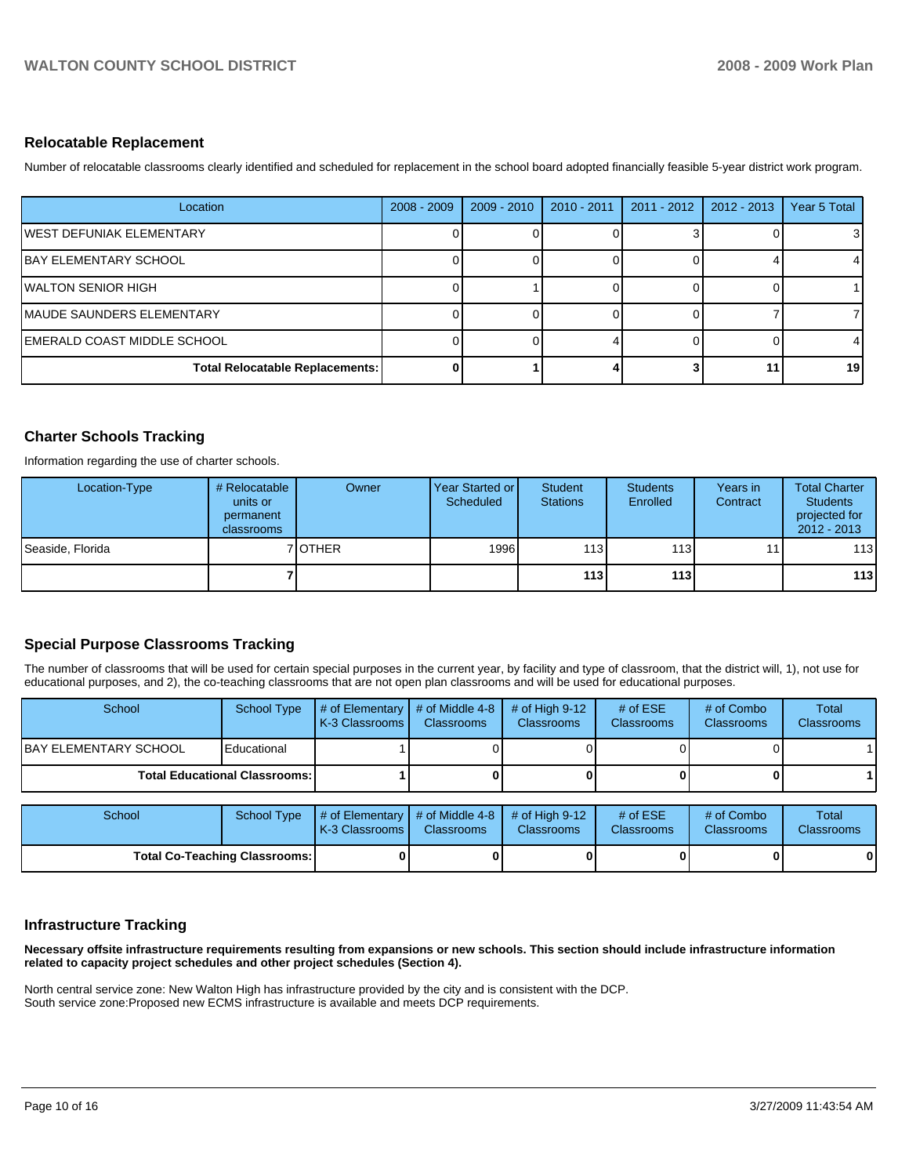### **Relocatable Replacement**

Number of relocatable classrooms clearly identified and scheduled for replacement in the school board adopted financially feasible 5-year district work program.

| Location                               | $2008 - 2009$ | $2009 - 2010$ | $2010 - 2011$ | $2011 - 2012$ | $2012 - 2013$ | Year 5 Total |
|----------------------------------------|---------------|---------------|---------------|---------------|---------------|--------------|
| IWEST DEFUNIAK ELEMENTARY              |               |               |               |               |               | 3            |
| <b>BAY ELEMENTARY SCHOOL</b>           |               |               |               |               |               | 4            |
| WALTON SENIOR HIGH                     |               |               |               |               |               |              |
| MAUDE SAUNDERS ELEMENTARY              |               |               |               |               |               |              |
| EMERALD COAST MIDDLE SCHOOL            |               |               |               |               |               |              |
| <b>Total Relocatable Replacements:</b> |               |               |               |               |               | 19           |

# **Charter Schools Tracking**

Information regarding the use of charter schools.

| Location-Type    | # Relocatable<br>units or<br>permanent<br>classrooms | Owner   | Year Started or<br>Scheduled | Student<br><b>Stations</b> | <b>Students</b><br>Enrolled | Years in<br>Contract | <b>Total Charter</b><br><b>Students</b><br>projected for<br>$2012 - 2013$ |
|------------------|------------------------------------------------------|---------|------------------------------|----------------------------|-----------------------------|----------------------|---------------------------------------------------------------------------|
| Seaside, Florida |                                                      | 7 OTHER | 1996                         | 113                        | 113 <sup>1</sup>            | 11                   | 113                                                                       |
|                  |                                                      |         |                              | 113                        | 113                         |                      | 113                                                                       |

# **Special Purpose Classrooms Tracking**

The number of classrooms that will be used for certain special purposes in the current year, by facility and type of classroom, that the district will, 1), not use for educational purposes, and 2), the co-teaching classrooms that are not open plan classrooms and will be used for educational purposes.

| School                                 | School Type | $\parallel$ # of Elementary $\parallel$ # of Middle 4-8 $\parallel$<br><b>K-3 Classrooms L</b> | <b>Classrooms</b> | $\#$ of High 9-12<br><b>Classrooms</b> | # of $ESE$<br><b>Classrooms</b> | # of Combo<br><b>Classrooms</b> | Total<br><b>Classrooms</b> |
|----------------------------------------|-------------|------------------------------------------------------------------------------------------------|-------------------|----------------------------------------|---------------------------------|---------------------------------|----------------------------|
| IBAY ELEMENTARY SCHOOL<br>Educational  |             |                                                                                                |                   |                                        |                                 |                                 |                            |
| <b>Total Educational Classrooms: I</b> |             |                                                                                                |                   |                                        | 0                               |                                 |                            |

| School                               | School Type | $\parallel$ # of Elementary $\parallel$ # of Middle 4-8 $\parallel$ # of High 9-12<br><b>IK-3 Classrooms I</b> | <b>Classrooms</b> | <b>Classrooms</b> | # of $ESE$<br><b>Classrooms</b> | # of Combo<br><b>Classrooms</b> | Total<br><b>Classrooms</b> |
|--------------------------------------|-------------|----------------------------------------------------------------------------------------------------------------|-------------------|-------------------|---------------------------------|---------------------------------|----------------------------|
| <b>Total Co-Teaching Classrooms:</b> |             |                                                                                                                | 01                |                   |                                 | 0                               | 0                          |

# **Infrastructure Tracking**

**Necessary offsite infrastructure requirements resulting from expansions or new schools. This section should include infrastructure information related to capacity project schedules and other project schedules (Section 4).** 

North central service zone: New Walton High has infrastructure provided by the city and is consistent with the DCP. South service zone:Proposed new ECMS infrastructure is available and meets DCP requirements.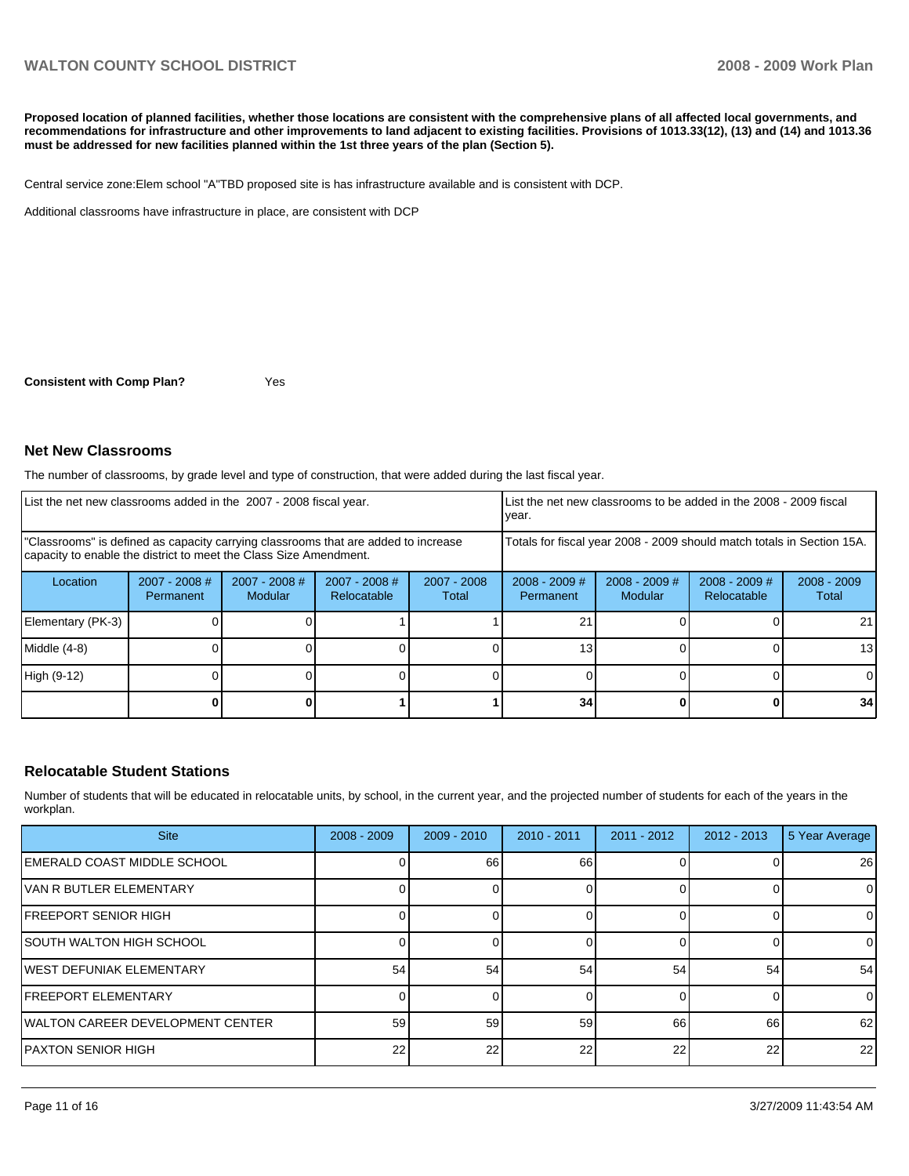# WALTON COUNTY SCHOOL DISTRICT **2008 - 2009 Work Plan**

**Proposed location of planned facilities, whether those locations are consistent with the comprehensive plans of all affected local governments, and recommendations for infrastructure and other improvements to land adjacent to existing facilities. Provisions of 1013.33(12), (13) and (14) and 1013.36 must be addressed for new facilities planned within the 1st three years of the plan (Section 5).** 

Central service zone: Elem school "A"TBD proposed site is has infrastructure available and is consistent with DCP.

Additional classrooms have infrastructure in place, are consistent with DCP

**Consistent with Comp Plan?** Yes

**Net New Classrooms** 

The number of classrooms, by grade level and type of construction, that were added during the last fiscal year.

| List the net new classrooms added in the 2007 - 2008 fiscal year.                                                                                       |                              |                          |                                                        |  | year.                               |                            | List the net new classrooms to be added in the 2008 - 2009 fiscal      |                        |
|---------------------------------------------------------------------------------------------------------------------------------------------------------|------------------------------|--------------------------|--------------------------------------------------------|--|-------------------------------------|----------------------------|------------------------------------------------------------------------|------------------------|
| "Classrooms" is defined as capacity carrying classrooms that are added to increase<br>capacity to enable the district to meet the Class Size Amendment. |                              |                          |                                                        |  |                                     |                            | Totals for fiscal year 2008 - 2009 should match totals in Section 15A. |                        |
| Location                                                                                                                                                | $2007 - 2008$ #<br>Permanent | 2007 - 2008 #<br>Modular | $2007 - 2008$ #<br>2007 - 2008<br>Relocatable<br>Total |  | $2008 - 2009$ #<br><b>Permanent</b> | $2008 - 2009$ #<br>Modular | $2008 - 2009$ #<br>Relocatable                                         | $2008 - 2009$<br>Total |
| Elementary (PK-3)                                                                                                                                       |                              |                          |                                                        |  | 21                                  |                            |                                                                        | 211                    |
| Middle (4-8)                                                                                                                                            |                              |                          |                                                        |  | 13                                  |                            |                                                                        | 13 <sup>1</sup>        |
| High (9-12)                                                                                                                                             |                              |                          |                                                        |  |                                     |                            |                                                                        | ΩI                     |
|                                                                                                                                                         |                              |                          |                                                        |  | 34                                  |                            |                                                                        | 34                     |

#### **Relocatable Student Stations**

Number of students that will be educated in relocatable units, by school, in the current year, and the projected number of students for each of the years in the workplan.

| <b>Site</b>                       | $2008 - 2009$ | $2009 - 2010$ | $2010 - 2011$ | $2011 - 2012$ | $2012 - 2013$ | 5 Year Average |
|-----------------------------------|---------------|---------------|---------------|---------------|---------------|----------------|
| IEMERALD COAST MIDDLE SCHOOL      |               | 66            | 66            |               |               | 26             |
| IVAN R BUTLER ELEMENTARY          |               |               |               |               |               | 0              |
| IFREEPORT SENIOR HIGH             |               |               |               |               |               | 0              |
| ISOUTH WALTON HIGH SCHOOL         |               |               |               |               |               | 0              |
| IWEST DEFUNIAK ELEMENTARY         | 54            | 54            | 54            | 54            | 54            | 54             |
| <b>IFREEPORT ELEMENTARY</b>       |               |               |               |               |               | 0              |
| IWALTON CAREER DEVELOPMENT CENTER | 59            | 59            | 59            | 66            | 66            | 62             |
| PAXTON SENIOR HIGH                | 22            | 22            | 22            | 22            | 22            | 22             |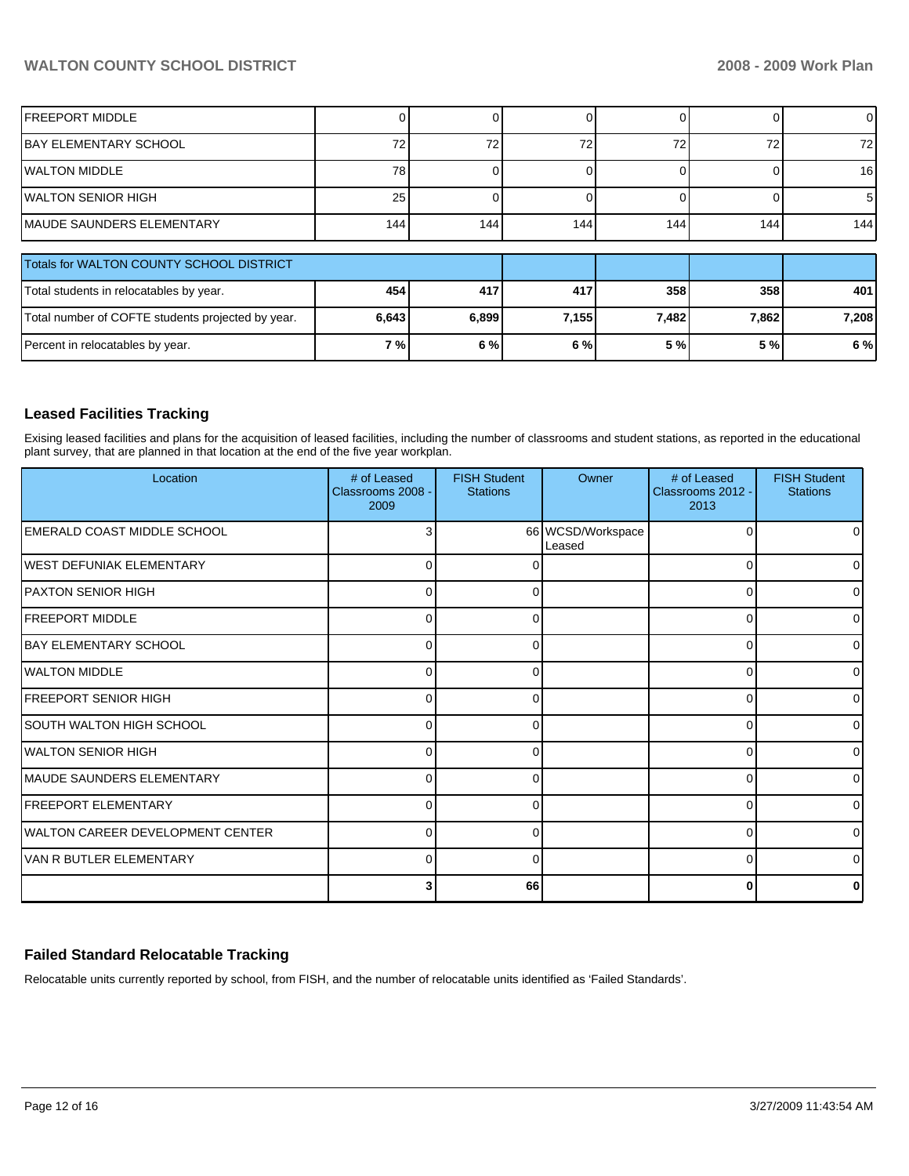# **WALTON COUNTY SCHOOL DISTRICT 2008 - 2009 Work Plan**

| <b>FREEPORT MIDDLE</b>                            |       |       | $\Omega$ |       |       | $\overline{0}$  |
|---------------------------------------------------|-------|-------|----------|-------|-------|-----------------|
| IBAY ELEMENTARY SCHOOL                            | 72    | 72    | 72       | 72    | 72    | 72 <sub>l</sub> |
| WALTON MIDDLE                                     | 78    |       |          |       |       | 16              |
| IWALTON SENIOR HIGH                               | 25    |       |          |       |       | 51              |
| MAUDE SAUNDERS ELEMENTARY                         | 144   | 144   | 144      | 144   | 144   | 144             |
|                                                   |       |       |          |       |       |                 |
| Totals for WALTON COUNTY SCHOOL DISTRICT          |       |       |          |       |       |                 |
| Total students in relocatables by year.           | 454   | 417   | 417      | 358   | 358   | 401             |
| Total number of COFTE students projected by year. | 6,643 | 6,899 | 7,155    | 7,482 | 7,862 | 7,208           |
| Percent in relocatables by year.                  | 7%    | 6 %   | 6 %      | 5 %   | 5 %   | 6 %             |

# **Leased Facilities Tracking**

Exising leased facilities and plans for the acquisition of leased facilities, including the number of classrooms and student stations, as reported in the educational plant survey, that are planned in that location at the end of the five year workplan.

| Location                          | # of Leased<br>Classrooms 2008 -<br>2009 | <b>FISH Student</b><br><b>Stations</b> | Owner                       | # of Leased<br>Classrooms 2012 -<br>2013 | <b>FISH Student</b><br><b>Stations</b> |
|-----------------------------------|------------------------------------------|----------------------------------------|-----------------------------|------------------------------------------|----------------------------------------|
| IEMERALD COAST MIDDLE SCHOOL      | Э                                        |                                        | 66 WCSD/Workspace<br>Leased | 0                                        | 01                                     |
| IWEST DEFUNIAK ELEMENTARY         | $\Omega$                                 | 0                                      |                             | 0                                        | 0                                      |
| <b>PAXTON SENIOR HIGH</b>         | C                                        | O                                      |                             | 0                                        | 01                                     |
| <b>IFREEPORT MIDDLE</b>           | C                                        | 0                                      |                             | 0                                        | $\Omega$                               |
| <b>IBAY ELEMENTARY SCHOOL</b>     | 0                                        | 0                                      |                             | 0                                        | $\overline{0}$                         |
| <b>IWALTON MIDDLE</b>             | C                                        | $\Omega$                               |                             | $\Omega$                                 | $\overline{0}$                         |
| <b>FREEPORT SENIOR HIGH</b>       | C                                        | 0                                      |                             | 0                                        | 0                                      |
| <b>SOUTH WALTON HIGH SCHOOL</b>   | $\Omega$                                 | 0                                      |                             | 0                                        | 0                                      |
| IWALTON SENIOR HIGH               | $\Omega$                                 | $\Omega$                               |                             | $\Omega$                                 | $\overline{0}$                         |
| <b>MAUDE SAUNDERS ELEMENTARY</b>  | C                                        | ∩                                      |                             | 0                                        | 0                                      |
| <b>FREEPORT ELEMENTARY</b>        | $\Omega$                                 | 0                                      |                             | 0                                        | 0                                      |
| IWALTON CAREER DEVELOPMENT CENTER | $\Omega$                                 | $\Omega$                               |                             | $\Omega$                                 | $\overline{0}$                         |
| IVAN R BUTLER ELEMENTARY          | $\Omega$                                 | $\Omega$                               |                             | $\Omega$                                 | ΟI                                     |
|                                   | 3                                        | 66                                     |                             | 0                                        | 0                                      |

# **Failed Standard Relocatable Tracking**

Relocatable units currently reported by school, from FISH, and the number of relocatable units identified as 'Failed Standards'.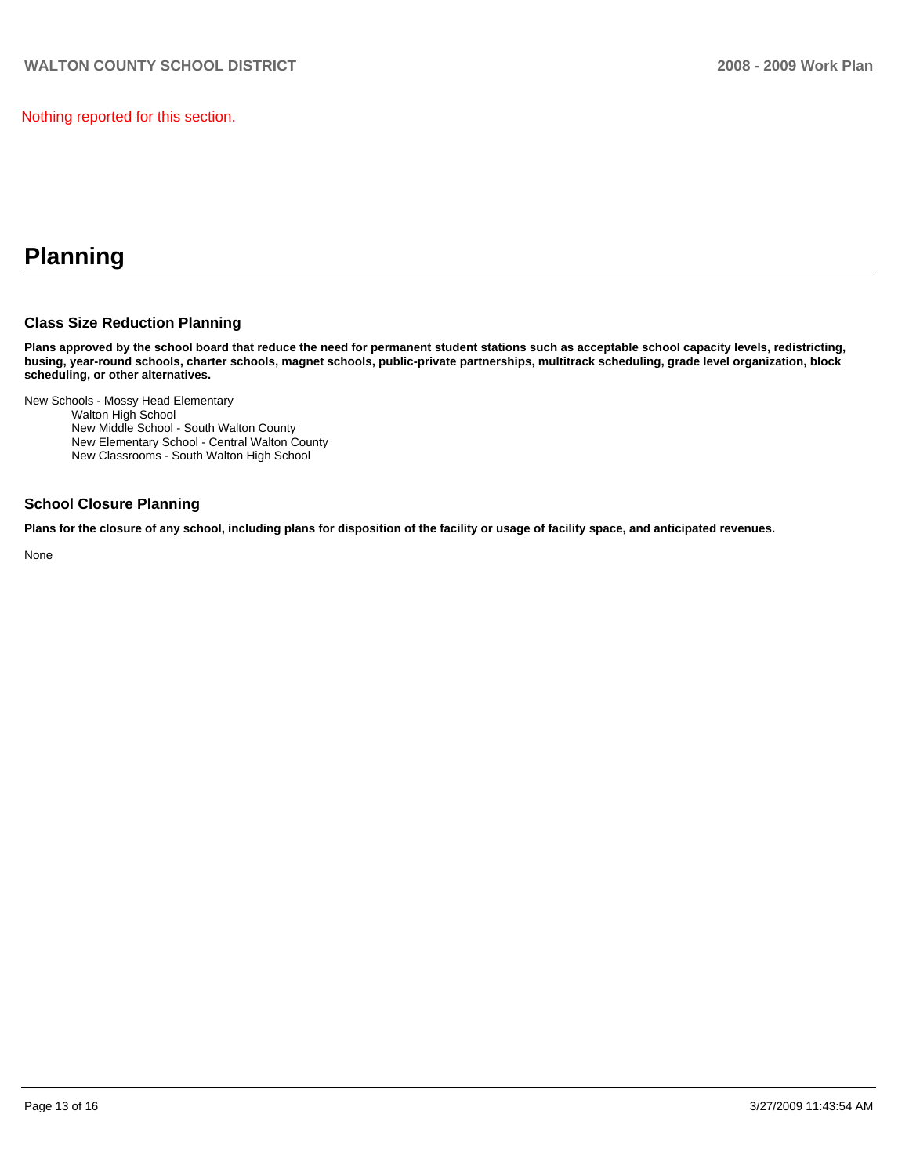Nothing reported for this section.

# **Planning**

# **Class Size Reduction Planning**

**Plans approved by the school board that reduce the need for permanent student stations such as acceptable school capacity levels, redistricting, busing, year-round schools, charter schools, magnet schools, public-private partnerships, multitrack scheduling, grade level organization, block scheduling, or other alternatives.** 

New Schools - Mossy Head Elementary

Walton High School

New Middle School - South Walton County

New Elementary School - Central Walton County

New Classrooms - South Walton High School

### **School Closure Planning**

**Plans for the closure of any school, including plans for disposition of the facility or usage of facility space, and anticipated revenues.** 

None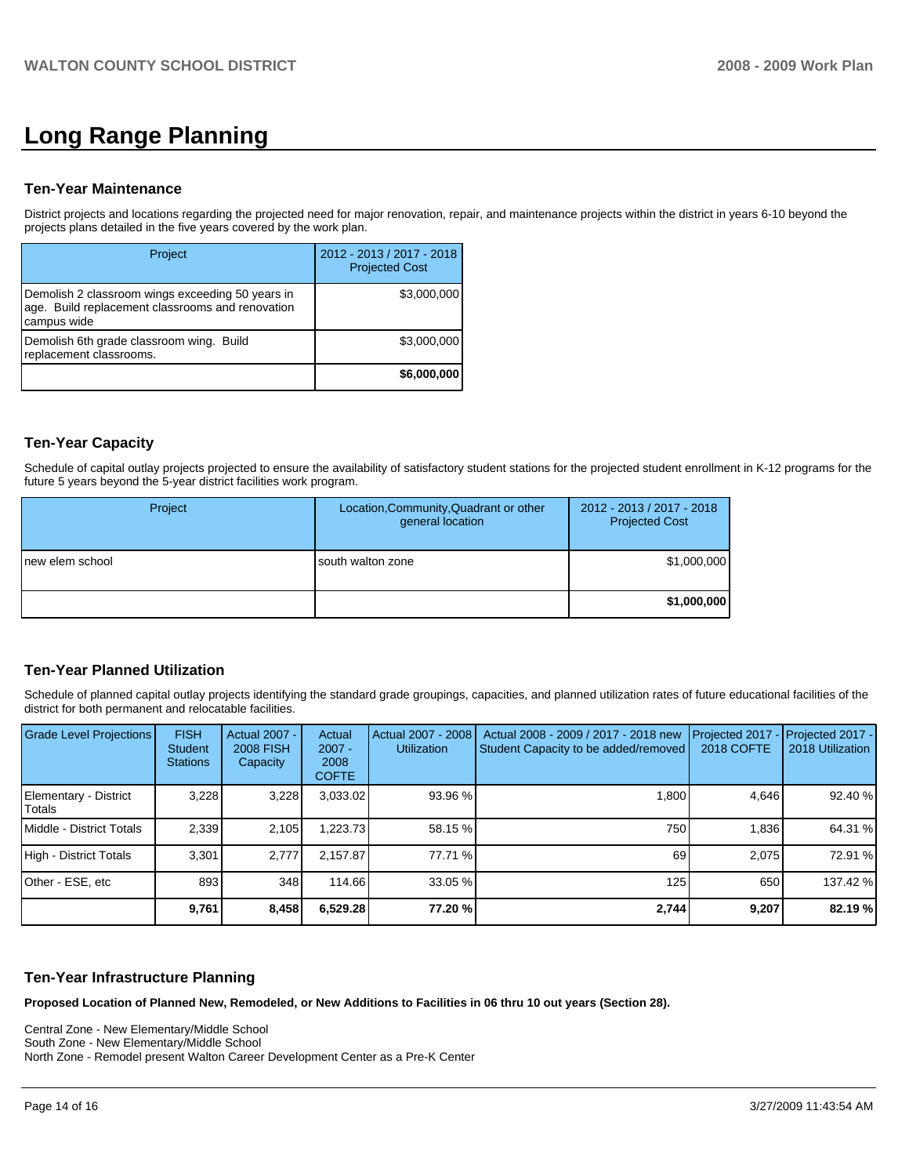# **Long Range Planning**

### **Ten-Year Maintenance**

District projects and locations regarding the projected need for major renovation, repair, and maintenance projects within the district in years 6-10 beyond the projects plans detailed in the five years covered by the work plan.

| Project                                                                                                             | 2012 - 2013 / 2017 - 2018<br><b>Projected Cost</b> |
|---------------------------------------------------------------------------------------------------------------------|----------------------------------------------------|
| Demolish 2 classroom wings exceeding 50 years in<br>age. Build replacement classrooms and renovation<br>campus wide | \$3,000,000                                        |
| Demolish 6th grade classroom wing. Build<br>replacement classrooms.                                                 | \$3,000,000                                        |
|                                                                                                                     | \$6,000,000                                        |

# **Ten-Year Capacity**

Schedule of capital outlay projects projected to ensure the availability of satisfactory student stations for the projected student enrollment in K-12 programs for the future 5 years beyond the 5-year district facilities work program.

| Project          | Location, Community, Quadrant or other<br>general location | 2012 - 2013 / 2017 - 2018<br><b>Projected Cost</b> |
|------------------|------------------------------------------------------------|----------------------------------------------------|
| Inew elem school | south walton zone                                          | \$1,000,000                                        |
|                  |                                                            | \$1,000,000                                        |

# **Ten-Year Planned Utilization**

Schedule of planned capital outlay projects identifying the standard grade groupings, capacities, and planned utilization rates of future educational facilities of the district for both permanent and relocatable facilities.

| <b>Grade Level Projections</b>  | <b>FISH</b><br><b>Student</b><br><b>Stations</b> | <b>Actual 2007 -</b><br><b>2008 FISH</b><br>Capacity | Actual<br>$2007 -$<br>2008<br><b>COFTE</b> | Actual 2007 - 2008<br><b>Utilization</b> | Actual 2008 - 2009 / 2017 - 2018 new<br>Student Capacity to be added/removed | Projected 2017<br><b>2018 COFTE</b> | Projected 2017 -<br>2018 Utilization |
|---------------------------------|--------------------------------------------------|------------------------------------------------------|--------------------------------------------|------------------------------------------|------------------------------------------------------------------------------|-------------------------------------|--------------------------------------|
| Elementary - District<br>Totals | 3.228                                            | 3.228                                                | 3,033.02                                   | 93.96 %                                  | 1.800                                                                        | 4.646                               | 92.40 %                              |
| Middle - District Totals        | 2.339                                            | 2.105                                                | 1.223.73                                   | 58.15 %                                  | 750                                                                          | 1.836                               | 64.31 %                              |
| High - District Totals          | 3.301                                            | 2.777                                                | 2.157.87                                   | 77.71 %                                  | 69                                                                           | 2.075                               | 72.91 %                              |
| Other - ESE, etc                | 893                                              | 348                                                  | 114.66                                     | 33.05 %                                  | 125                                                                          | 650                                 | 137.42 %                             |
|                                 | 9,761                                            | 8,458                                                | 6,529.28                                   | 77.20 %                                  | 2,744                                                                        | 9,207                               | 82.19 %                              |

### **Ten-Year Infrastructure Planning**

**Proposed Location of Planned New, Remodeled, or New Additions to Facilities in 06 thru 10 out years (Section 28).** 

Central Zone - New Elementary/Middle School��

South Zone - New Elementary/Middle School North Zone - Remodel present Walton Career Development Center as a Pre-K Center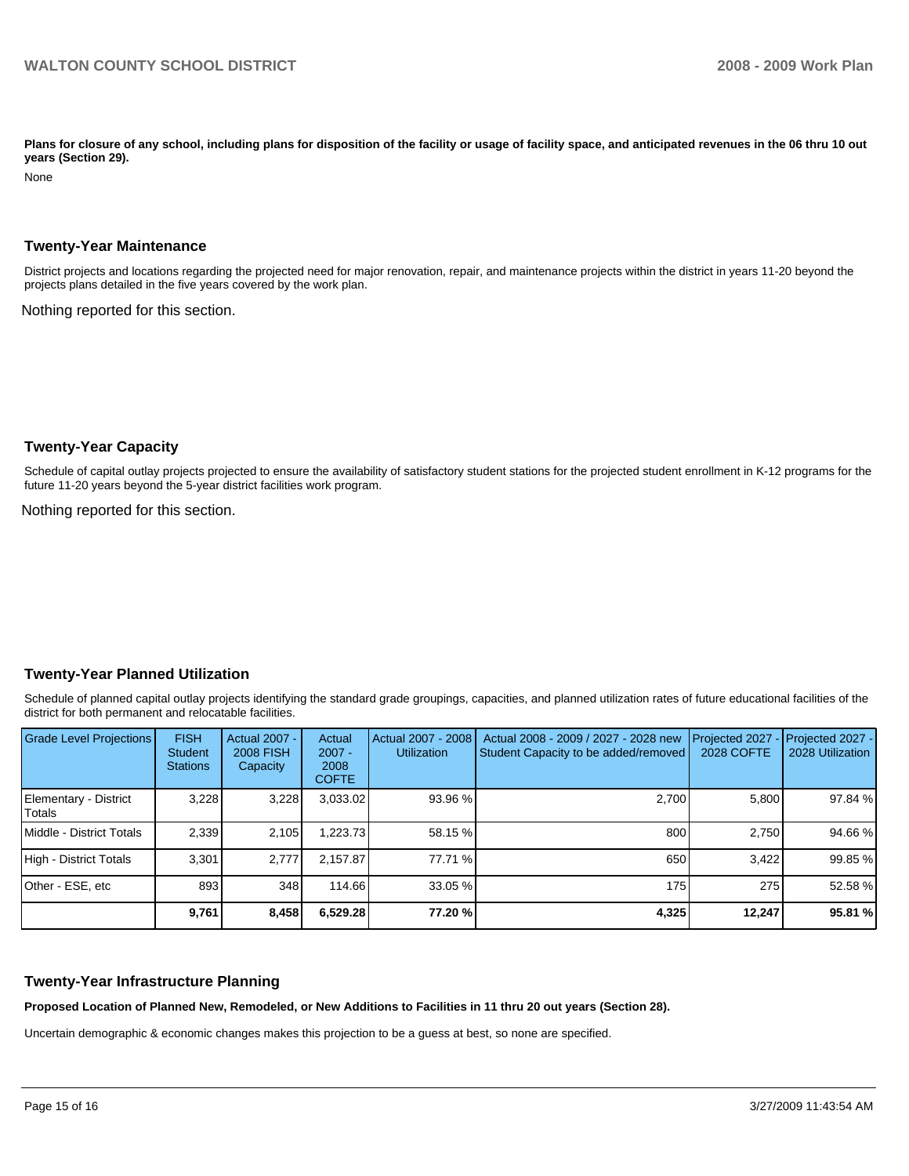Plans for closure of any school, including plans for disposition of the facility or usage of facility space, and anticipated revenues in the 06 thru 10 out **years (Section 29).** 

None

#### **Twenty-Year Maintenance**

District projects and locations regarding the projected need for major renovation, repair, and maintenance projects within the district in years 11-20 beyond the projects plans detailed in the five years covered by the work plan.

Nothing reported for this section.

### **Twenty-Year Capacity**

Schedule of capital outlay projects projected to ensure the availability of satisfactory student stations for the projected student enrollment in K-12 programs for the future 11-20 years beyond the 5-year district facilities work program.

Nothing reported for this section.

### **Twenty-Year Planned Utilization**

Schedule of planned capital outlay projects identifying the standard grade groupings, capacities, and planned utilization rates of future educational facilities of the district for both permanent and relocatable facilities.

| <b>Grade Level Projections</b>   | <b>FISH</b><br><b>Student</b><br><b>Stations</b> | Actual 2007 -<br><b>2008 FISH</b><br>Capacity | Actual<br>$2007 -$<br>2008<br><b>COFTE</b> | Actual 2007 - 2008<br><b>Utilization</b> | Actual 2008 - 2009 / 2027 - 2028 new<br>Student Capacity to be added/removed | Projected 2027<br>2028 COFTE | $-$ Projected 2027 -<br>2028 Utilization |
|----------------------------------|--------------------------------------------------|-----------------------------------------------|--------------------------------------------|------------------------------------------|------------------------------------------------------------------------------|------------------------------|------------------------------------------|
| Elementary - District<br> Totals | 3,228                                            | 3,228                                         | 3,033.02                                   | 93.96 %                                  | 2,700                                                                        | 5,800                        | 97.84 %                                  |
| Middle - District Totals         | 2.339                                            | 2.105                                         | 1.223.73                                   | 58.15 %                                  | 800                                                                          | 2.750                        | 94.66 %                                  |
| High - District Totals           | 3.301                                            | 2.777                                         | 2.157.87                                   | 77.71 %                                  | 650                                                                          | 3.422                        | 99.85 %                                  |
| Other - ESE, etc                 | 893                                              | 348                                           | 114.66                                     | 33.05 %                                  | 175                                                                          | 275                          | 52.58 %                                  |
|                                  | 9,761                                            | 8,458                                         | 6,529.28                                   | 77.20 %                                  | 4,325                                                                        | 12,247                       | 95.81 %                                  |

### **Twenty-Year Infrastructure Planning**

**Proposed Location of Planned New, Remodeled, or New Additions to Facilities in 11 thru 20 out years (Section 28).** 

Uncertain demographic & economic changes makes this projection to be a guess at best, so none are specified.